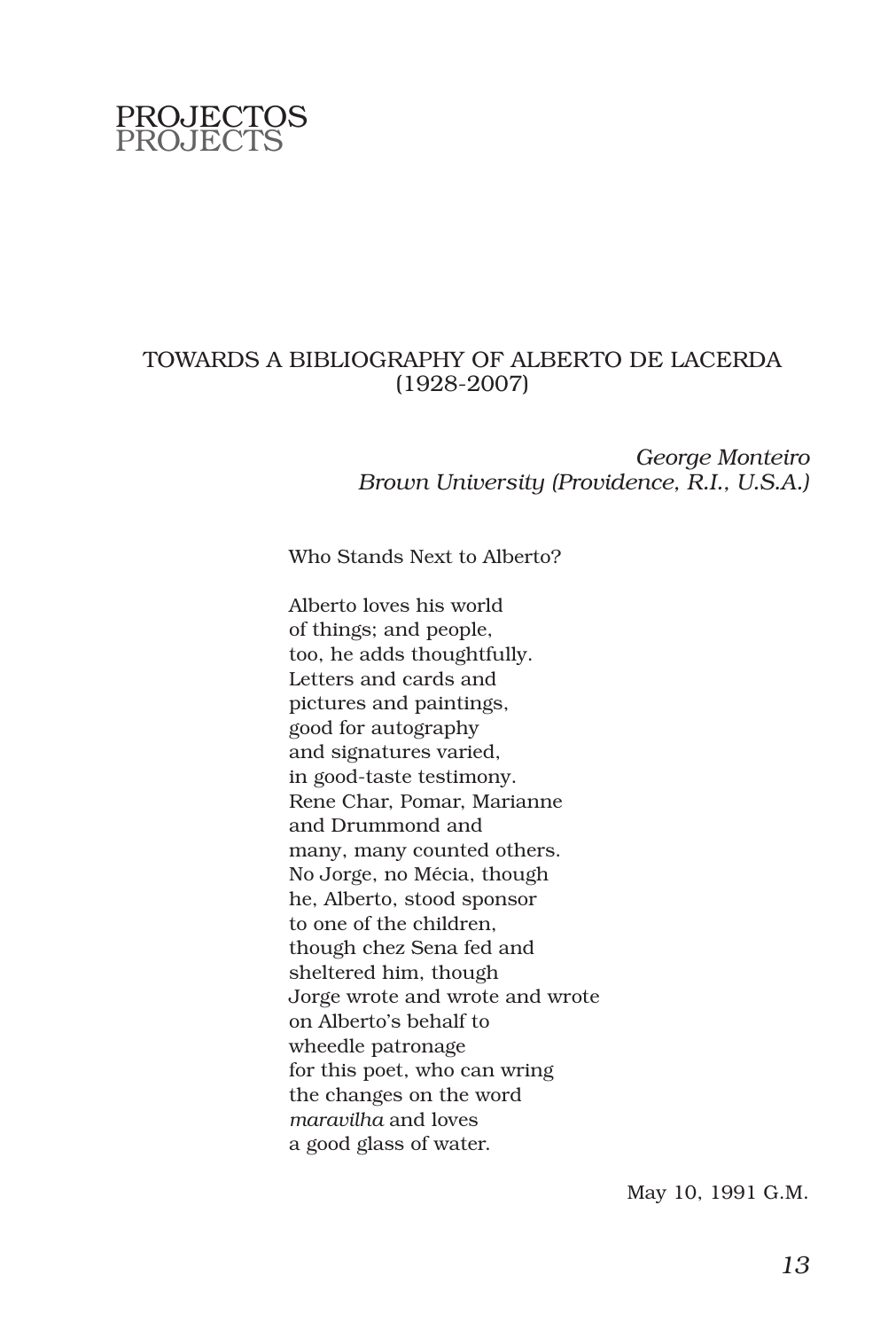

# TOWARDS A BIBLIOGRAPHY OF ALBERTO DE LACERDA (1928-2007)

*George Monteiro Brown University (Providence, R.I., U.S.A.)*

Who Stands Next to Alberto?

Alberto loves his world of things; and people, too, he adds thoughtfully. Letters and cards and pictures and paintings, good for autography and signatures varied, in good-taste testimony. Rene Char, Pomar, Marianne and Drummond and many, many counted others. No Jorge, no Mécia, though he, Alberto, stood sponsor to one of the children, though chez Sena fed and sheltered him, though Jorge wrote and wrote and wrote on Alberto's behalf to wheedle patronage for this poet, who can wring the changes on the word *maravilha* and loves a good glass of water.

May 10, 1991 G.M.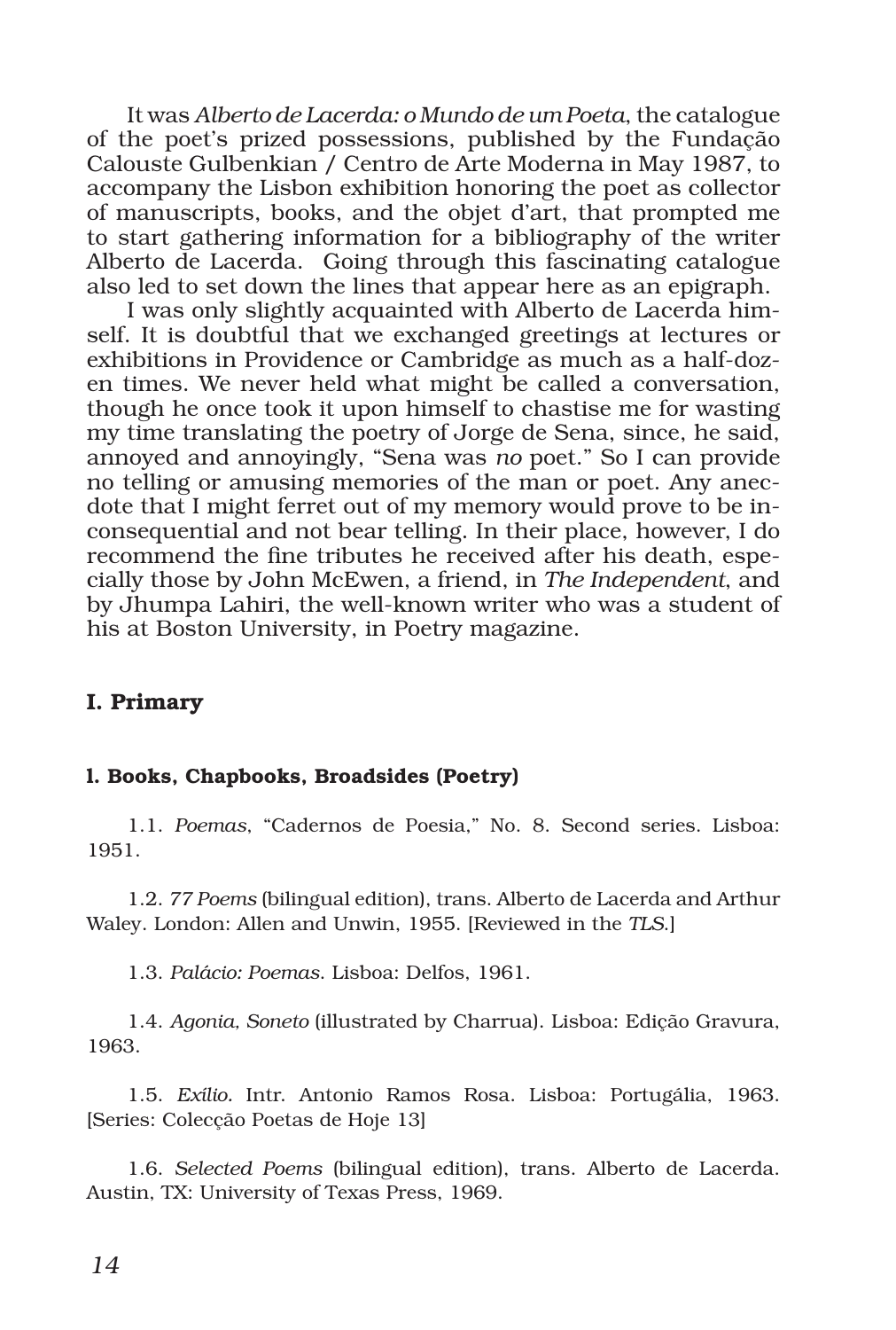It was *Alberto de Lacerda: o Mundo de um Poeta*, the catalogue of the poet's prized possessions, published by the Fundação Calouste Gulbenkian / Centro de Arte Moderna in May 1987, to accompany the Lisbon exhibition honoring the poet as collector of manuscripts, books, and the objet d'art, that prompted me to start gathering information for a bibliography of the writer Alberto de Lacerda. Going through this fascinating catalogue also led to set down the lines that appear here as an epigraph.

I was only slightly acquainted with Alberto de Lacerda himself. It is doubtful that we exchanged greetings at lectures or exhibitions in Providence or Cambridge as much as a half-dozen times. We never held what might be called a conversation, though he once took it upon himself to chastise me for wasting my time translating the poetry of Jorge de Sena, since, he said, annoyed and annoyingly, "Sena was *no* poet." So I can provide no telling or amusing memories of the man or poet. Any anecdote that I might ferret out of my memory would prove to be inconsequential and not bear telling. In their place, however, I do recommend the fine tributes he received after his death, especially those by John McEwen, a friend, in *The Independent*, and by Jhumpa Lahiri, the well-known writer who was a student of his at Boston University, in Poetry magazine.

# I. Primary

## l. Books, Chapbooks, Broadsides (Poetry)

1.1. *Poemas*, "Cadernos de Poesia," No. 8. Second series. Lisboa: 1951.

1.2. *77 Poems* (bilingual edition), trans. Alberto de Lacerda and Arthur Waley. London: Allen and Unwin, 1955. [Reviewed in the *TLS*.]

1.3. *Palácio: Poemas*. Lisboa: Delfos, 1961.

1.4. *Agonia, Soneto* (illustrated by Charrua). Lisboa: Edição Gravura, 1963.

1.5. *Exílio.* Intr. Antonio Ramos Rosa. Lisboa: Portugália, 1963. [Series: Colecção Poetas de Hoje 13]

1.6. *Selected Poems* (bilingual edition), trans. Alberto de Lacerda. Austin, TX: University of Texas Press, 1969.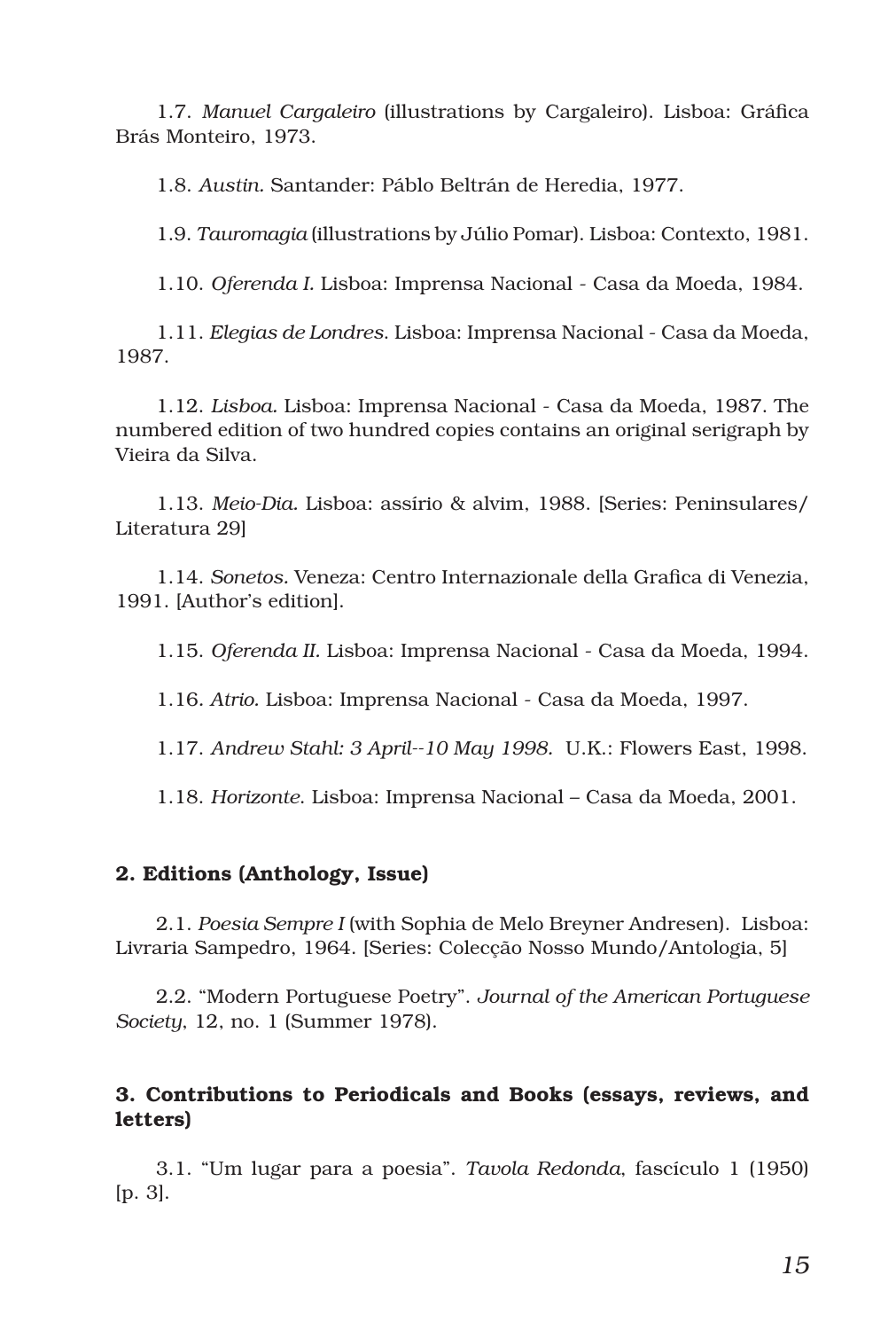1.7. *Manuel Cargaleiro* (illustrations by Cargaleiro). Lisboa: Gráfica Brás Monteiro, 1973.

1.8. *Austin.* Santander: Páblo Beltrán de Heredia, 1977.

1.9. *Tauromagia* (illustrations by Júlio Pomar). Lisboa: Contexto, 1981.

1.10. *Oferenda I.* Lisboa: Imprensa Nacional - Casa da Moeda, 1984.

1.11. *Elegias de Londres*. Lisboa: Imprensa Nacional - Casa da Moeda, 1987.

1.12. *Lisboa.* Lisboa: Imprensa Nacional - Casa da Moeda, 1987. The numbered edition of two hundred copies contains an original serigraph by Vieira da Silva.

1.13. *Meio-Dia.* Lisboa: assírio & alvim, 1988. [Series: Peninsulares/ Literatura 29]

1.14. *Sonetos.* Veneza: Centro Internazionale della Grafica di Venezia, 1991. [Author's edition].

1.15. *Oferenda II.* Lisboa: Imprensa Nacional - Casa da Moeda, 1994.

1.16*. Atrio.* Lisboa: Imprensa Nacional - Casa da Moeda, 1997.

1.17. *Andrew Stahl: 3 April--10 May 1998.* U.K.: Flowers East, 1998.

1.18. *Horizonte*. Lisboa: Imprensa Nacional – Casa da Moeda, 2001.

### 2. Editions (Anthology, Issue)

2.1. *Poesia Sempre I* (with Sophia de Melo Breyner Andresen). Lisboa: Livraria Sampedro, 1964. [Series: Colecção Nosso Mundo/Antologia, 5]

2.2. "Modern Portuguese Poetry". *Journal of the American Portuguese Society*, 12, no. 1 (Summer 1978).

## 3. Contributions to Periodicals and Books (essays, reviews, and letters)

3.1. "Um lugar para a poesia". *Tavola Redonda*, fascículo 1 (1950) [p. 3].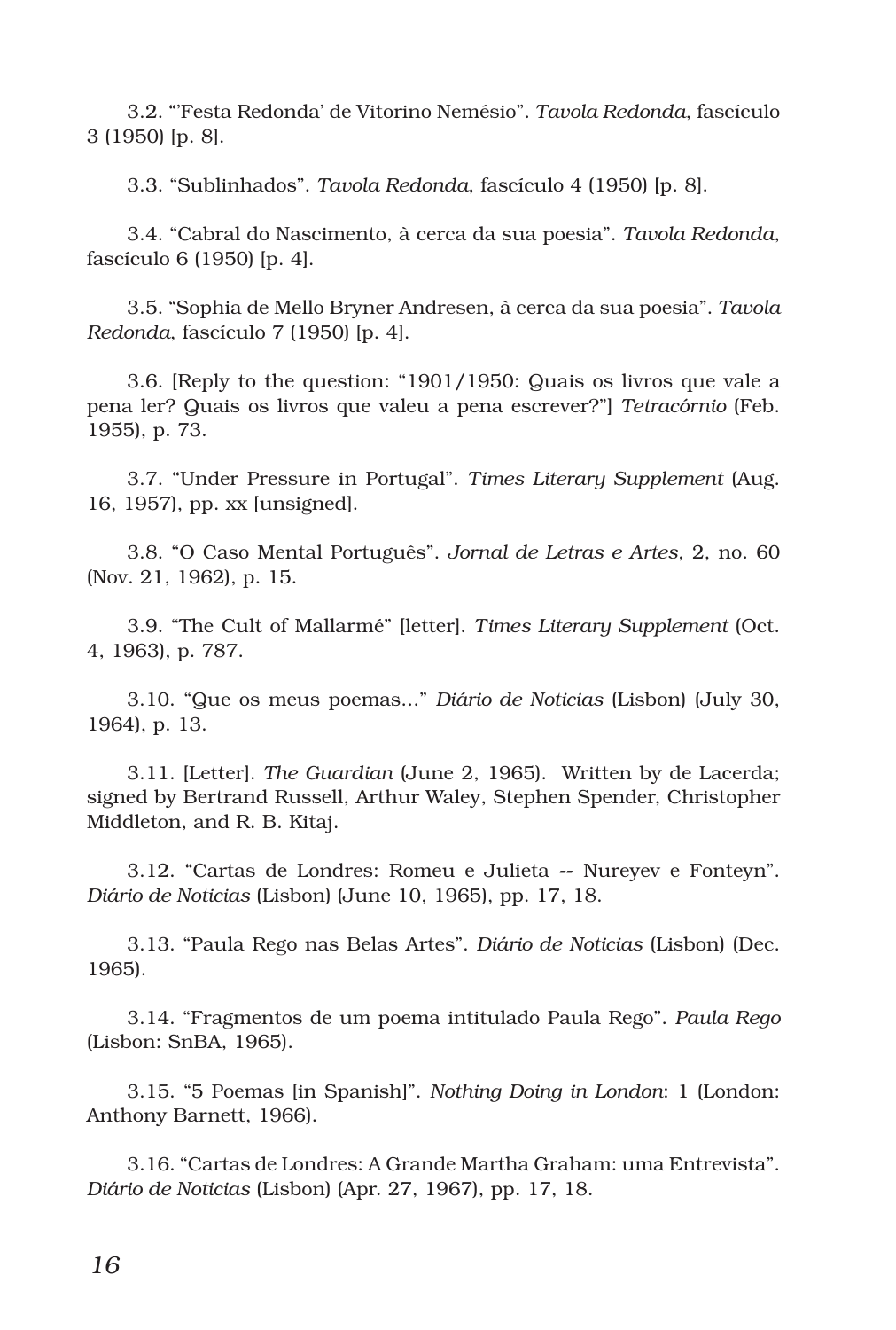3.2. "'Festa Redonda' de Vitorino Nemésio". *Tavola Redonda*, fascículo 3 (1950) [p. 8].

3.3. "Sublinhados". *Tavola Redonda*, fascículo 4 (1950) [p. 8].

3.4. "Cabral do Nascimento, à cerca da sua poesia". *Tavola Redonda*, fascículo 6 (1950) [p. 4].

3.5. "Sophia de Mello Bryner Andresen, à cerca da sua poesia". *Tavola Redonda*, fascículo 7 (1950) [p. 4].

3.6. [Reply to the question: "1901/1950: Quais os livros que vale a pena ler? Quais os livros que valeu a pena escrever?"] *Tetracórnio* (Feb. 1955), p. 73.

3.7. "Under Pressure in Portugal". *Times Literary Supplement* (Aug. 16, 1957), pp. xx [unsigned].

3.8. "O Caso Mental Português". *Jornal de Letras e Artes*, 2, no. 60 (Nov. 21, 1962), p. 15.

3.9. "The Cult of Mallarmé" [letter]. *Times Literary Supplement* (Oct. 4, 1963), p. 787.

3.10. "Que os meus poemas..." *Diário de Noticias* (Lisbon) (July 30, 1964), p. 13.

3.11. [Letter]. *The Guardian* (June 2, 1965). Written by de Lacerda; signed by Bertrand Russell, Arthur Waley, Stephen Spender, Christopher Middleton, and R. B. Kitaj.

3.12. "Cartas de Londres: Romeu e Julieta -- Nureyev e Fonteyn". *Diário de Noticias* (Lisbon) (June 10, 1965), pp. 17, 18.

3.13. "Paula Rego nas Belas Artes". *Diário de Noticias* (Lisbon) (Dec. 1965).

3.14. "Fragmentos de um poema intitulado Paula Rego". *Paula Rego* (Lisbon: SnBA, 1965).

3.15. "5 Poemas [in Spanish]". *Nothing Doing in London*: 1 (London: Anthony Barnett, 1966).

3.16. "Cartas de Londres: A Grande Martha Graham: uma Entrevista". *Diário de Noticias* (Lisbon) (Apr. 27, 1967), pp. 17, 18.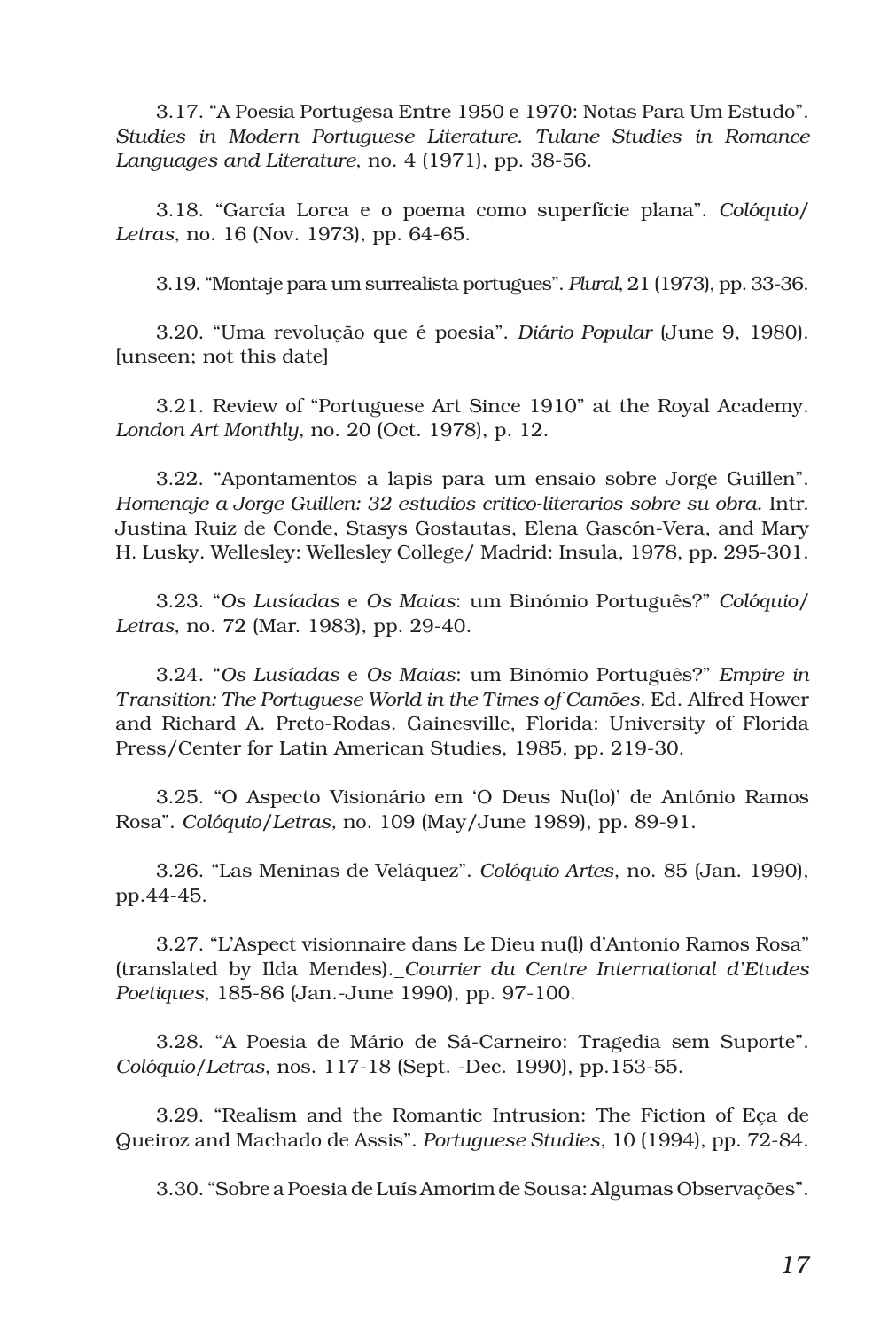3.17. "A Poesia Portugesa Entre 1950 e 1970: Notas Para Um Estudo". *Studies in Modern Portuguese Literature. Tulane Studies in Romance Languages and Literature*, no. 4 (1971), pp. 38-56.

3.18. "García Lorca e o poema como superfície plana". *Colóquio/ Letras*, no. 16 (Nov. 1973), pp. 64-65.

3.19. "Montaje para um surrealista portugues". *Plural*, 21 (1973), pp. 33-36.

3.20. "Uma revolução que é poesia". *Diário Popular* (June 9, 1980). [unseen; not this date]

3.21. Review of "Portuguese Art Since 1910" at the Royal Academy. *London Art Monthly*, no. 20 (Oct. 1978), p. 12.

3.22. "Apontamentos a lapis para um ensaio sobre Jorge Guillen". *Homenaje a Jorge Guillen: 32 estudios critico-literarios sobre su obra.* Intr. Justina Ruiz de Conde, Stasys Gostautas, Elena Gascón-Vera, and Mary H. Lusky. Wellesley: Wellesley College/ Madrid: Insula, 1978, pp. 295-301.

3.23. "*Os Lusíadas* e *Os Maias*: um Binómio Português?" *Colóquio/ Letras*, no. 72 (Mar. 1983), pp. 29-40.

3.24. "*Os Lusíadas* e *Os Maias*: um Binómio Português?" *Empire in Transition: The Portuguese World in the Times of Camões.* Ed. Alfred Hower and Richard A. Preto-Rodas. Gainesville, Florida: University of Florida Press/Center for Latin American Studies, 1985, pp. 219-30.

3.25. "O Aspecto Visionário em 'O Deus Nu(lo)' de António Ramos Rosa". *Colóquio/Letras,* no. 109 (May/June 1989), pp. 89-91.

3.26. "Las Meninas de Veláquez". *Colóquio Artes*, no. 85 (Jan. 1990), pp.44-45.

3.27. "L'Aspect visionnaire dans Le Dieu nu(l) d'Antonio Ramos Rosa" (translated by Ilda Mendes). *Courrier du Centre International d'Etudes Poetiques*, 185-86 (Jan.-June 1990), pp. 97-100.

3.28. "A Poesia de Mário de Sá-Carneiro: Tragedia sem Suporte". *Colóquio/Letras*, nos. 117-18 (Sept. -Dec. 1990), pp.153-55.

3.29. "Realism and the Romantic Intrusion: The Fiction of Eça de Queiroz and Machado de Assis". *Portuguese Studies*, 10 (1994), pp. 72-84.

3.30. "Sobre a Poesia de Luís Amorim de Sousa: Algumas Observações".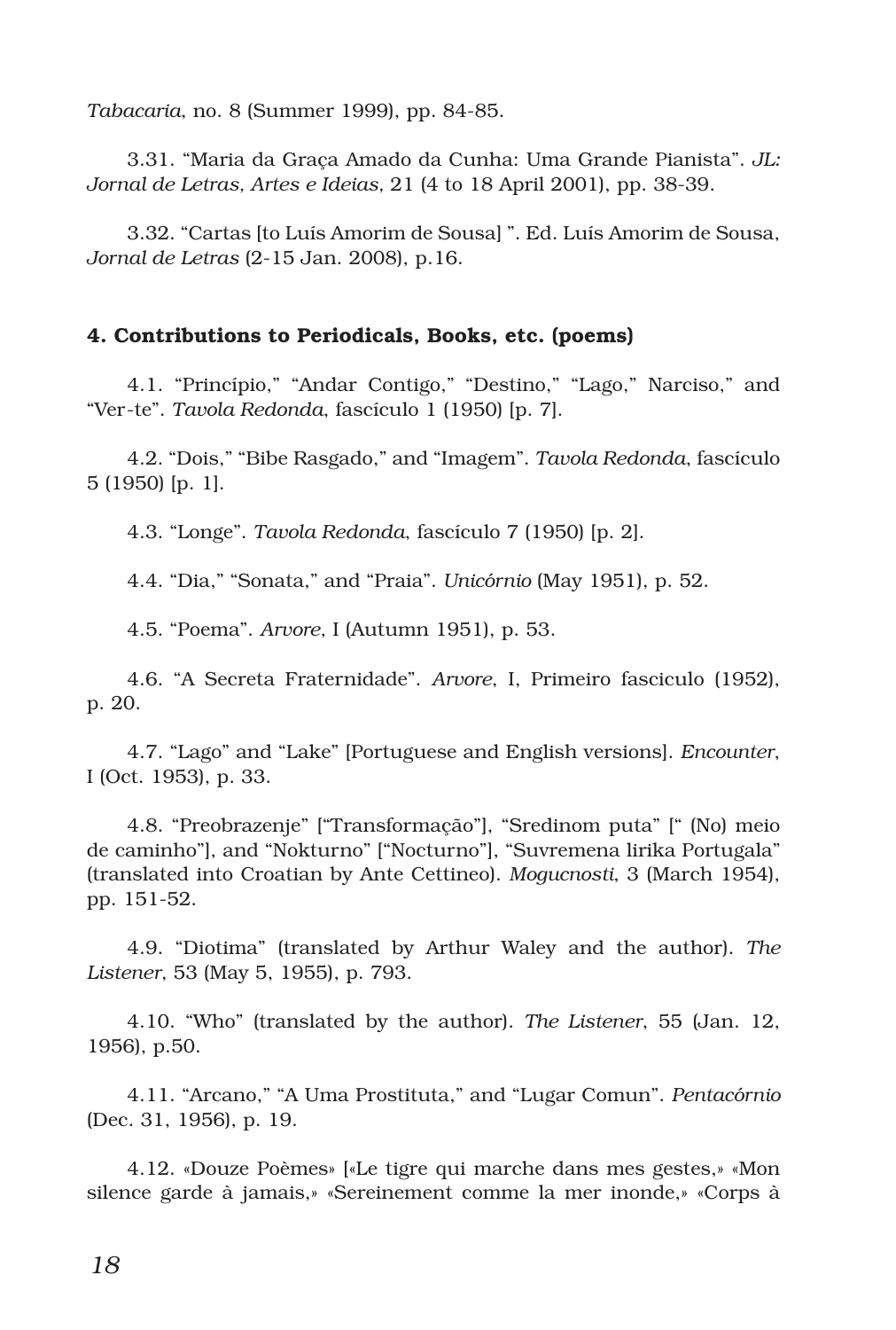*Tabacaria*, no. 8 (Summer 1999), pp. 84-85.

3.31. "Maria da Graça Amado da Cunha: Uma Grande Pianista". *JL: Jornal de Letras, Artes e Ideias,* 21 (4 to 18 April 2001), pp. 38-39.

3.32. "Cartas [to Luís Amorim de Sousa] ". Ed. Luís Amorim de Sousa, *Jornal de Letras* (2-15 Jan. 2008), p.16.

## 4. Contributions to Periodicals, Books, etc. (poems)

4.1. "Princípio," "Andar Contigo," "Destino," "Lago," Narciso," and "Ver-te". *Tavola Redonda*, fascículo 1 (1950) [p. 7].

4.2. "Dois," "Bibe Rasgado," and "Imagem". *Tavola Redonda*, fascículo 5 (1950) [p. 1].

4.3. "Longe". *Tavola Redonda*, fascículo 7 (1950) [p. 2].

4.4. "Dia," "Sonata," and "Praia". *Unicórnio* (May 1951), p. 52.

4.5. "Poema". *Arvore*, I (Autumn 1951), p. 53.

4.6. "A Secreta Fraternidade". *Arvore*, I, Primeiro fasciculo (1952), p. 20.

4.7. "Lago" and "Lake" [Portuguese and English versions]. *Encounter*, I (Oct. 1953), p. 33.

4.8. "Preobrazenje" ["Transformação"], "Sredinom puta" [" (No) meio de caminho"], and "Nokturno" ["Nocturno"], "Suvremena lirika Portugala" (translated into Croatian by Ante Cettineo). *Mogucnosti*, 3 (March 1954), pp. 151-52.

4.9. "Diotima" (translated by Arthur Waley and the author). *The Listener*, 53 (May 5, 1955), p. 793.

4.10. "Who" (translated by the author). *The Listener*, 55 (Jan. 12, 1956), p.50.

4.11. "Arcano," "A Uma Prostituta," and "Lugar Comun". *Pentacórnio* (Dec. 31, 1956), p. 19.

4.12. «Douze Poèmes» [«Le tigre qui marche dans mes gestes,» «Mon silence garde à jamais,» «Sereinement comme la mer inonde,» «Corps à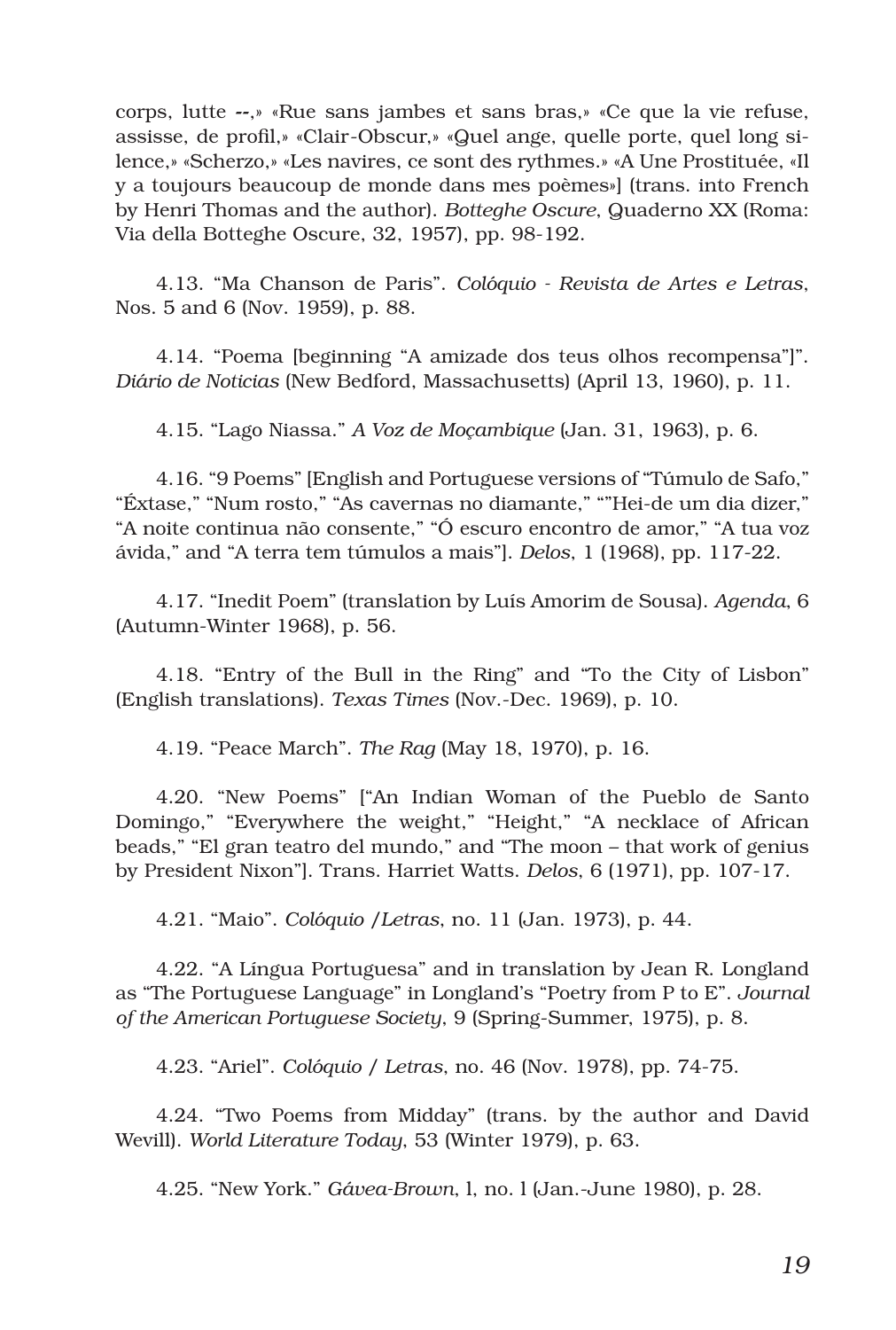corps, lutte --,» «Rue sans jambes et sans bras,» «Ce que la vie refuse, assisse, de profil,» «Clair-Obscur,» «Quel ange, quelle porte, quel long silence,» «Scherzo,» «Les navires, ce sont des rythmes.» «A Une Prostituée, «Il y a toujours beaucoup de monde dans mes poèmes»] (trans. into French by Henri Thomas and the author). *Botteghe Oscure*, Quaderno XX (Roma: Via della Botteghe Oscure, 32, 1957), pp. 98-192.

4.13. "Ma Chanson de Paris". *Colóquio - Revista de Artes e Letras*, Nos. 5 and 6 (Nov. 1959), p. 88.

4.14. "Poema [beginning "A amizade dos teus olhos recompensa"]". *Diário de Noticias* (New Bedford, Massachusetts) (April 13, 1960), p. 11.

4.15. "Lago Niassa." *A Voz de Moçambique* (Jan. 31, 1963), p. 6.

4.16. "9 Poems" [English and Portuguese versions of "Túmulo de Safo," "Éxtase," "Num rosto," "As cavernas no diamante," ""Hei-de um dia dizer," "A noite continua não consente," "Ó escuro encontro de amor," "A tua voz ávida," and "A terra tem túmulos a mais"]. *Delos*, 1 (1968), pp. 117-22.

4.17. "Inedit Poem" (translation by Luís Amorim de Sousa). *Agenda*, 6 (Autumn-Winter 1968), p. 56.

4.18. "Entry of the Bull in the Ring" and "To the City of Lisbon" (English translations). *Texas Times* (Nov.-Dec. 1969), p. 10.

4.19. "Peace March". *The Rag* (May 18, 1970), p. 16.

4.20. "New Poems" ["An Indian Woman of the Pueblo de Santo Domingo," "Everywhere the weight," "Height," "A necklace of African beads," "El gran teatro del mundo," and "The moon – that work of genius by President Nixon"]. Trans. Harriet Watts. *Delos*, 6 (1971), pp. 107-17.

4.21. "Maio". *Colóquio /Letras*, no. 11 (Jan. 1973), p. 44.

4.22. "A Língua Portuguesa" and in translation by Jean R. Longland as "The Portuguese Language" in Longland's "Poetry from P to E". *Journal of the American Portuguese Society*, 9 (Spring-Summer, 1975), p. 8.

4.23. "Ariel". *Colóquio / Letras*, no. 46 (Nov. 1978), pp. 74-75.

4.24. "Two Poems from Midday" (trans. by the author and David Wevill). *World Literature Today*, 53 (Winter 1979), p. 63.

4.25. "New York." *Gávea-Brown*, l, no. l (Jan.-June 1980), p. 28.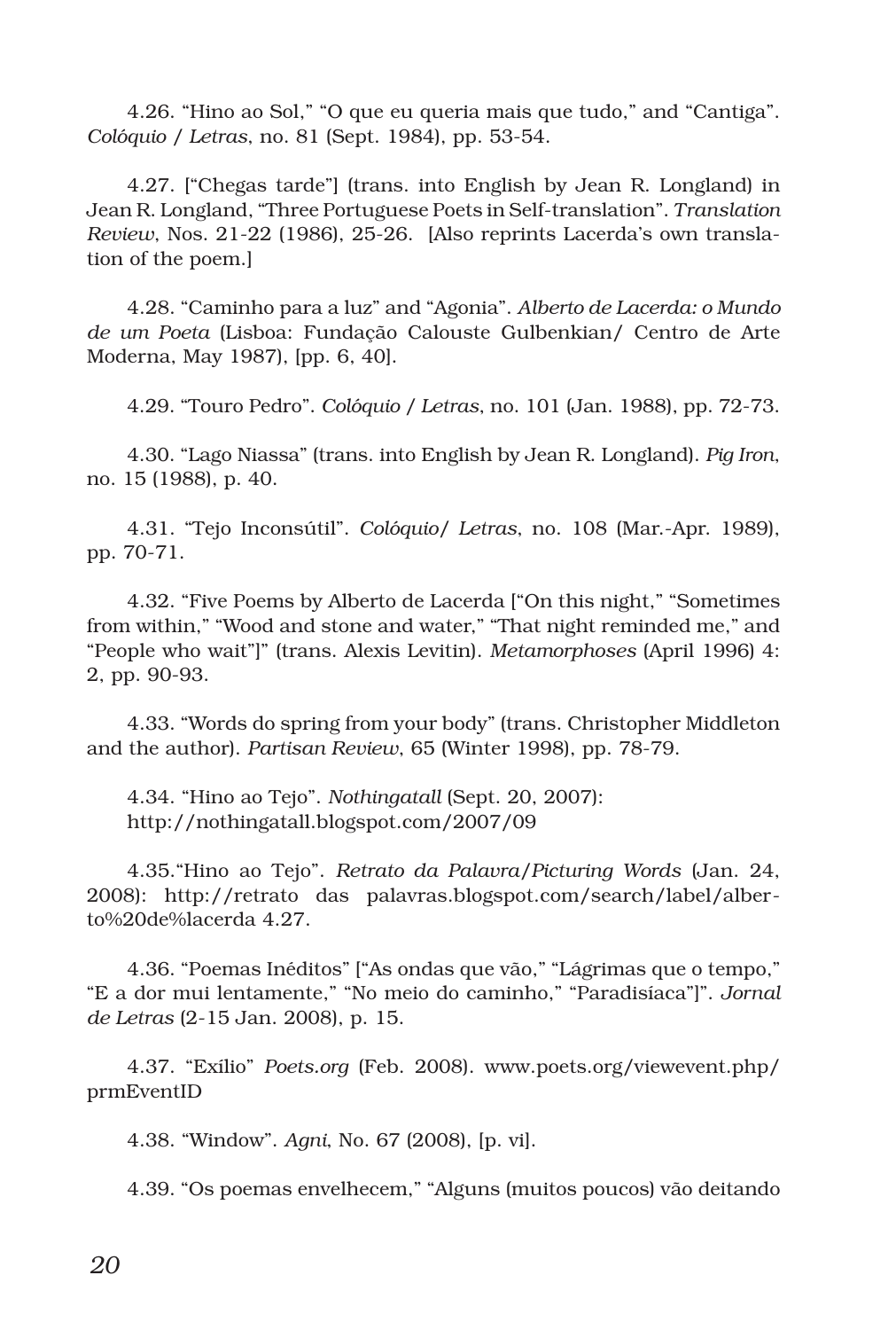4.26. "Hino ao Sol," "O que eu queria mais que tudo," and "Cantiga". *Colóquio / Letras*, no. 81 (Sept. 1984), pp. 53-54.

4.27. ["Chegas tarde"] (trans. into English by Jean R. Longland) in Jean R. Longland, "Three Portuguese Poets in Self-translation". *Translation Review*, Nos. 21-22 (1986), 25-26. [Also reprints Lacerda's own translation of the poem.]

4.28. "Caminho para a luz" and "Agonia". *Alberto de Lacerda: o Mundo de um Poeta* (Lisboa: Fundação Calouste Gulbenkian/ Centro de Arte Moderna, May 1987), [pp. 6, 40].

4.29. "Touro Pedro". *Colóquio / Letras*, no. 101 (Jan. 1988), pp. 72-73.

4.30. "Lago Niassa" (trans. into English by Jean R. Longland). *Pig Iron*, no. 15 (1988), p. 40.

4.31. "Tejo Inconsútil". *Colóquio/ Letras*, no. 108 (Mar.-Apr. 1989), pp. 70-71.

4.32. "Five Poems by Alberto de Lacerda ["On this night," "Sometimes from within," "Wood and stone and water," "That night reminded me," and "People who wait"]" (trans. Alexis Levitin). *Metamorphoses* (April 1996) 4: 2, pp. 90-93.

4.33. "Words do spring from your body" (trans. Christopher Middleton and the author). *Partisan Review*, 65 (Winter 1998), pp. 78-79.

4.34. "Hino ao Tejo". *Nothingatall* (Sept. 20, 2007): http://nothingatall.blogspot.com/2007/09

4.35."Hino ao Tejo". *Retrato da Palavra/Picturing Words* (Jan. 24, 2008): http://retrato das palavras.blogspot.com/search/label/alberto%20de%lacerda 4.27.

4.36. "Poemas Inéditos" ["As ondas que vão," "Lágrimas que o tempo," "E a dor mui lentamente," "No meio do caminho," "Paradisíaca"]". *Jornal de Letras* (2-15 Jan. 2008), p. 15.

4.37. "Exílio" *Poets.org* (Feb. 2008). www.poets.org/viewevent.php/ prmEventID

4.38. "Window". *Agni*, No. 67 (2008), [p. vi].

4.39. "Os poemas envelhecem," "Alguns (muitos poucos) vão deitando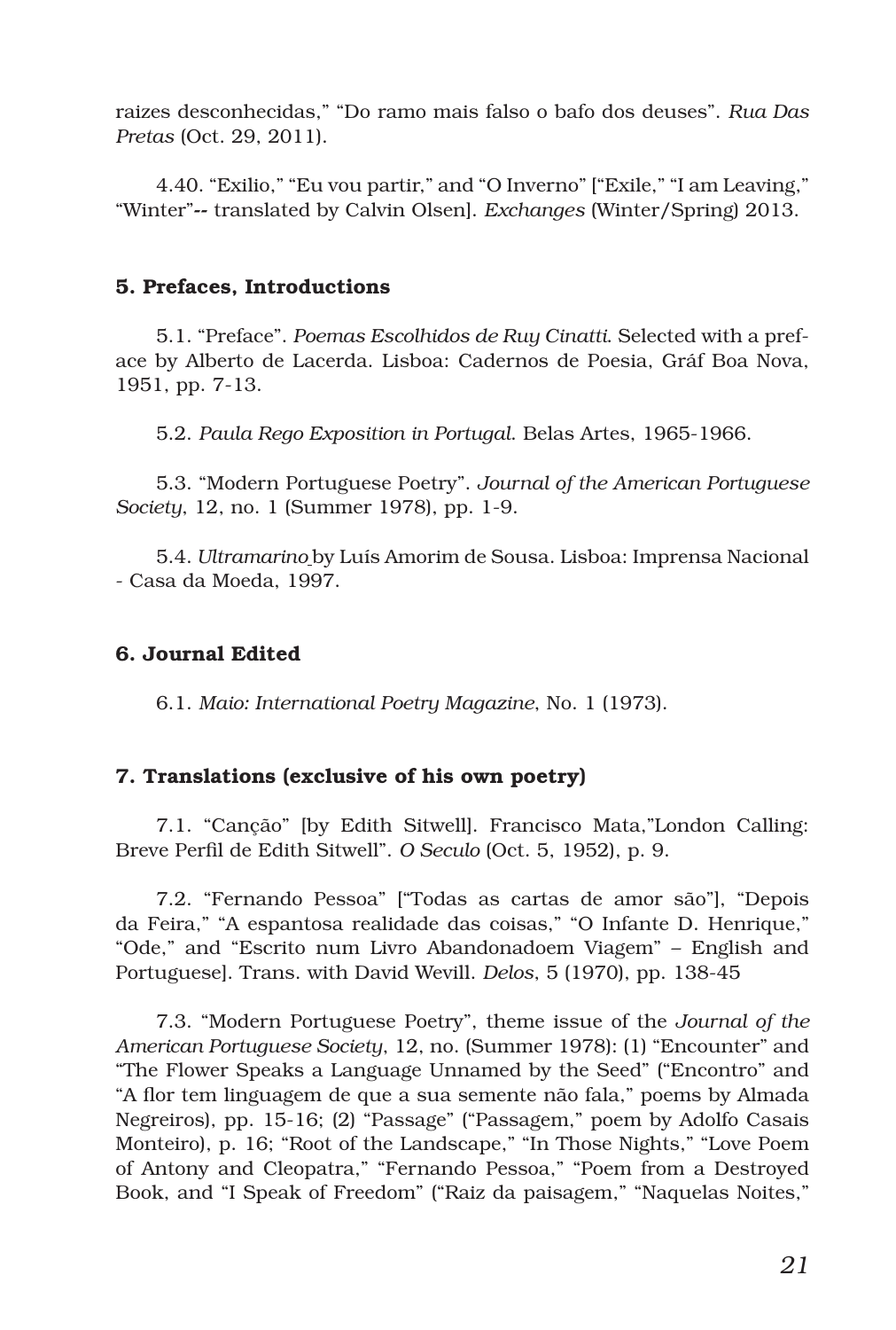raizes desconhecidas," "Do ramo mais falso o bafo dos deuses". *Rua Das Pretas* (Oct. 29, 2011).

4.40. "Exilio," "Eu vou partir," and "O Inverno" ["Exile," "I am Leaving," "Winter"-- translated by Calvin Olsen]. *Exchanges* (Winter/Spring) 2013.

## 5. Prefaces, Introductions

5.1. "Preface". *Poemas Escolhidos de Ruy Cinatti*. Selected with a preface by Alberto de Lacerda. Lisboa: Cadernos de Poesia, Gráf Boa Nova, 1951, pp. 7-13.

5.2. *Paula Rego Exposition in Portugal*. Belas Artes, 1965-1966.

5.3. "Modern Portuguese Poetry". *Journal of the American Portuguese Society*, 12, no. 1 (Summer 1978), pp. 1-9.

5.4. *Ultramarino* by Luís Amorim de Sousa. Lisboa: Imprensa Nacional - Casa da Moeda, 1997.

## 6. Journal Edited

6.1. *Maio: International Poetry Magazine*, No. 1 (1973).

#### 7. Translations (exclusive of his own poetry)

7.1. "Canção" [by Edith Sitwell]. Francisco Mata,"London Calling: Breve Perfil de Edith Sitwell". *O Seculo* (Oct. 5, 1952), p. 9.

7.2. "Fernando Pessoa" ["Todas as cartas de amor são"], "Depois da Feira," "A espantosa realidade das coisas," "O Infante D. Henrique," "Ode," and "Escrito num Livro Abandonadoem Viagem" – English and Portuguese]. Trans. with David Wevill. *Delos*, 5 (1970), pp. 138-45

7.3. "Modern Portuguese Poetry", theme issue of the *Journal of the American Portuguese Society*, 12, no. (Summer 1978): (1) "Encounter" and "The Flower Speaks a Language Unnamed by the Seed" ("Encontro" and "A flor tem linguagem de que a sua semente não fala," poems by Almada Negreiros), pp. 15-16; (2) "Passage" ("Passagem," poem by Adolfo Casais Monteiro), p. 16; "Root of the Landscape," "In Those Nights," "Love Poem of Antony and Cleopatra," "Fernando Pessoa," "Poem from a Destroyed Book, and "I Speak of Freedom" ("Raiz da paisagem," "Naquelas Noites,"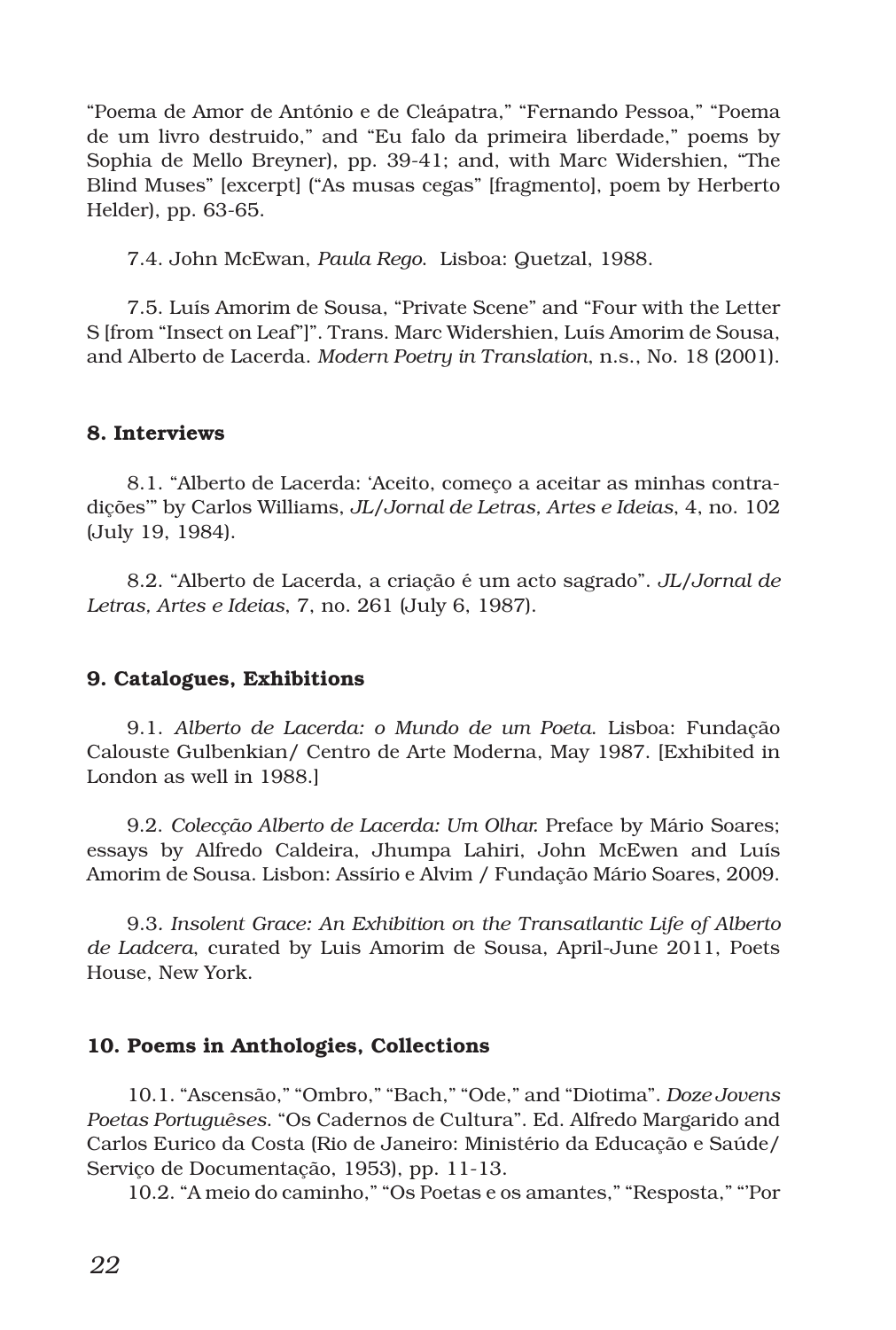"Poema de Amor de António e de Cleápatra," "Fernando Pessoa," "Poema de um livro destruido," and "Eu falo da primeira liberdade," poems by Sophia de Mello Breyner), pp. 39-41; and, with Marc Widershien, "The Blind Muses" [excerpt] ("As musas cegas" [fragmento], poem by Herberto Helder), pp. 63-65.

7.4. John McEwan, *Paula Rego*. Lisboa: Quetzal, 1988.

7.5. Luís Amorim de Sousa, "Private Scene" and "Four with the Letter S [from "Insect on Leaf"]". Trans. Marc Widershien, Luís Amorim de Sousa, and Alberto de Lacerda. *Modern Poetry in Translation*, n.s., No. 18 (2001).

## 8. Interviews

8.1. "Alberto de Lacerda: 'Aceito, começo a aceitar as minhas contradições'" by Carlos Williams, *JL/Jornal de Letras, Artes e Ideias*, 4, no. 102 (July 19, 1984).

8.2. "Alberto de Lacerda, a criação é um acto sagrado". *JL/Jornal de Letras, Artes e Ideias*, 7, no. 261 (July 6, 1987).

## 9. Catalogues, Exhibitions

9.1. *Alberto de Lacerda: o Mundo de um Poeta*. Lisboa: Fundação Calouste Gulbenkian/ Centro de Arte Moderna, May 1987. [Exhibited in London as well in 1988.]

9.2. *Colecção Alberto de Lacerda: Um Olhar.* Preface by Mário Soares; essays by Alfredo Caldeira, Jhumpa Lahiri, John McEwen and Luís Amorim de Sousa. Lisbon: Assírio e Alvim / Fundação Mário Soares, 2009.

9.3*. Insolent Grace: An Exhibition on the Transatlantic Life of Alberto de Ladcera*, curated by Luis Amorim de Sousa, April-June 2011, Poets House, New York.

#### 10. Poems in Anthologies, Collections

10.1. "Ascensão," "Ombro," "Bach," "Ode," and "Diotima". *Doze Jovens Poetas Portuguêses*. "Os Cadernos de Cultura". Ed. Alfredo Margarido and Carlos Eurico da Costa (Rio de Janeiro: Ministério da Educação e Saúde/ Serviço de Documentação, 1953), pp. 11-13.

10.2. "A meio do caminho," "Os Poetas e os amantes," "Resposta," "'Por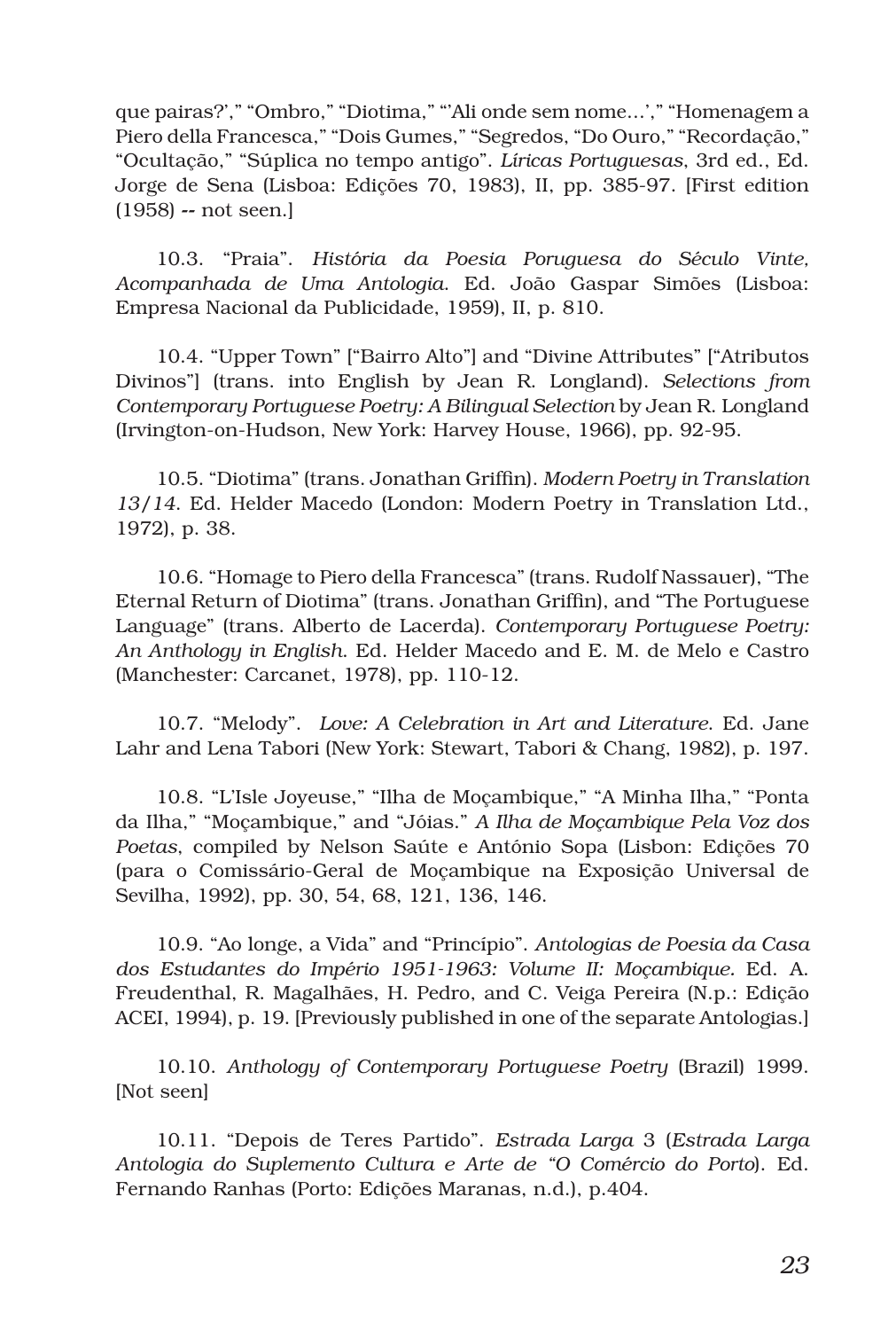que pairas?'," "Ombro," "Diotima," "'Ali onde sem nome...'," "Homenagem a Piero della Francesca," "Dois Gumes," "Segredos, "Do Ouro," "Recordação," "Ocultação," "Súplica no tempo antigo". *Líricas Portuguesas*, 3rd ed., Ed. Jorge de Sena (Lisboa: Edições 70, 1983), II, pp. 385-97. [First edition (1958) -- not seen.]

10.3. "Praia". *História da Poesia Poruguesa do Século Vinte, Acompanhada de Uma Antologia*. Ed. João Gaspar Simões (Lisboa: Empresa Nacional da Publicidade, 1959), II, p. 810.

10.4. "Upper Town" ["Bairro Alto"] and "Divine Attributes" ["Atributos Divinos"] (trans. into English by Jean R. Longland). *Selections from Contemporary Portuguese Poetry: A Bilingual Selection* by Jean R. Longland (Irvington-on-Hudson, New York: Harvey House, 1966), pp. 92-95.

10.5. "Diotima" (trans. Jonathan Griffin). *Modern Poetry in Translation 13/14*. Ed. Helder Macedo (London: Modern Poetry in Translation Ltd., 1972), p. 38.

10.6. "Homage to Piero della Francesca" (trans. Rudolf Nassauer), "The Eternal Return of Diotima" (trans. Jonathan Griffin), and "The Portuguese Language" (trans. Alberto de Lacerda). *Contemporary Portuguese Poetry: An Anthology in English*. Ed. Helder Macedo and E. M. de Melo e Castro (Manchester: Carcanet, 1978), pp. 110-12.

10.7. "Melody". *Love: A Celebration in Art and Literature*. Ed. Jane Lahr and Lena Tabori (New York: Stewart, Tabori & Chang, 1982), p. 197.

10.8. "L'Isle Joyeuse," "Ilha de Moçambique," "A Minha Ilha," "Ponta da Ilha," "Moçambique," and "Jóias." *A Ilha de Moçambique Pela Voz dos Poetas*, compiled by Nelson Saúte e António Sopa (Lisbon: Edições 70 (para o Comissário-Geral de Moçambique na Exposição Universal de Sevilha, 1992), pp. 30, 54, 68, 121, 136, 146.

10.9. "Ao longe, a Vida" and "Princípio". *Antologias de Poesia da Casa dos Estudantes do Império 1951-1963: Volume II: Moçambique.* Ed. A. Freudenthal, R. Magalhães, H. Pedro, and C. Veiga Pereira (N.p.: Edição ACEI, 1994), p. 19. [Previously published in one of the separate Antologias.]

10.10. *Anthology of Contemporary Portuguese Poetry* (Brazil) 1999. [Not seen]

10.11. "Depois de Teres Partido". *Estrada Larga* 3 (*Estrada Larga Antologia do Suplemento Cultura e Arte de "O Comércio do Porto*). Ed. Fernando Ranhas (Porto: Edições Maranas, n.d.), p.404.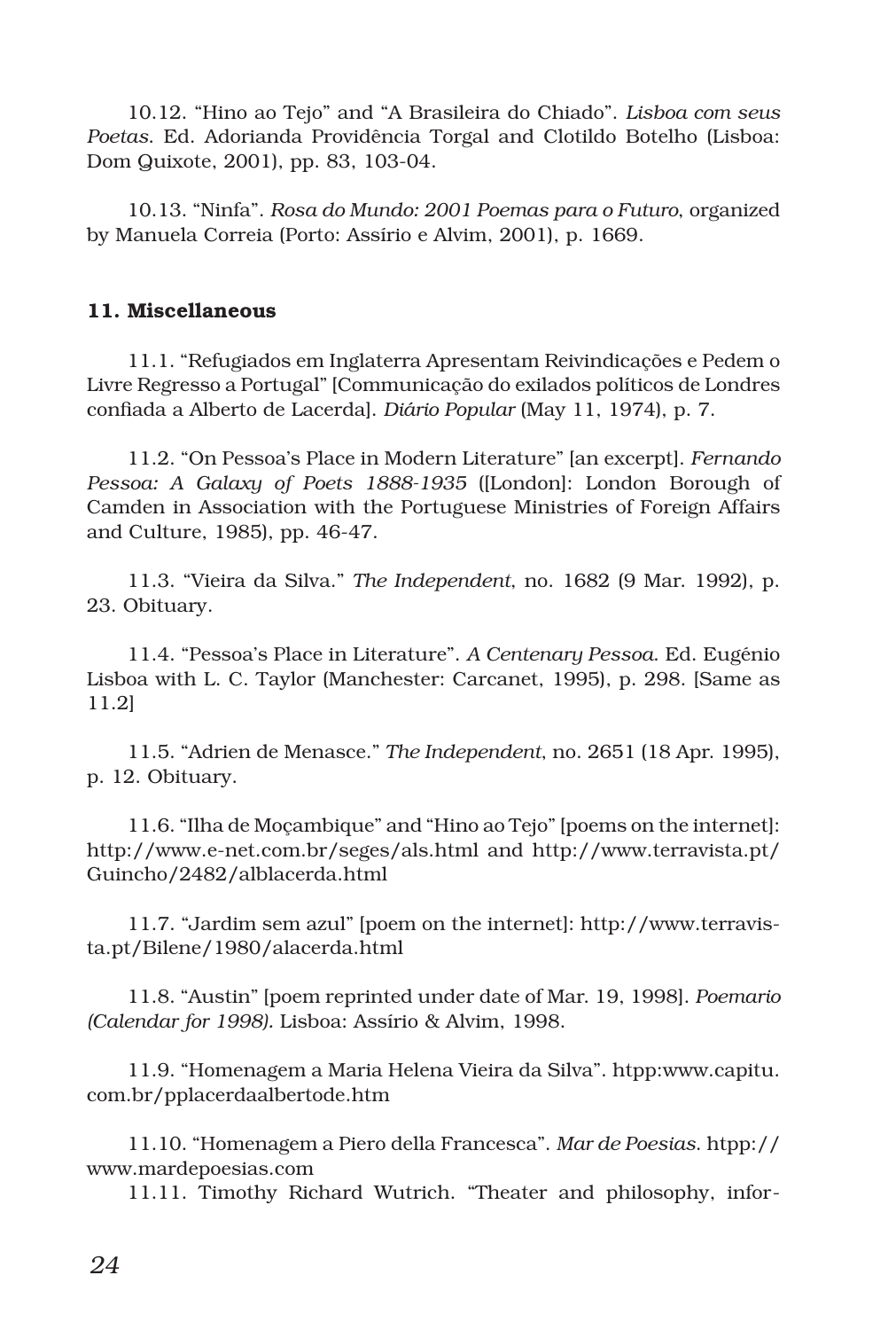10.12. "Hino ao Tejo" and "A Brasileira do Chiado". *Lisboa com seus Poetas*. Ed. Adorianda Providência Torgal and Clotildo Botelho (Lisboa: Dom Quixote, 2001), pp. 83, 103-04.

10.13. "Ninfa". *Rosa do Mundo: 2001 Poemas para o Futuro*, organized by Manuela Correia (Porto: Assírio e Alvim, 2001), p. 1669.

## 11. Miscellaneous

11.1. "Refugiados em Inglaterra Apresentam Reivindicações e Pedem o Livre Regresso a Portugal" [Communicação do exilados políticos de Londres confiada a Alberto de Lacerda]. *Diário Popular* (May 11, 1974), p. 7.

11.2. "On Pessoa's Place in Modern Literature" [an excerpt]. *Fernando Pessoa: A Galaxy of Poets 1888-1935* ([London]: London Borough of Camden in Association with the Portuguese Ministries of Foreign Affairs and Culture, 1985), pp. 46-47.

11.3. "Vieira da Silva." *The Independent*, no. 1682 (9 Mar. 1992), p. 23. Obituary.

11.4. "Pessoa's Place in Literature". *A Centenary Pessoa*. Ed. Eugénio Lisboa with L. C. Taylor (Manchester: Carcanet, 1995), p. 298. [Same as 11.2]

11.5. "Adrien de Menasce." *The Independent*, no. 2651 (18 Apr. 1995), p. 12. Obituary.

11.6. "Ilha de Moçambique" and "Hino ao Tejo" [poems on the internet]: http://www.e-net.com.br/seges/als.html and http://www.terravista.pt/ Guincho/2482/alblacerda.html

11.7. "Jardim sem azul" [poem on the internet]: http://www.terravista.pt/Bilene/1980/alacerda.html

11.8. "Austin" [poem reprinted under date of Mar. 19, 1998]. *Poemario (Calendar for 1998).* Lisboa: Assírio & Alvim, 1998.

11.9. "Homenagem a Maria Helena Vieira da Silva". htpp:www.capitu. com.br/pplacerdaalbertode.htm

11.10. "Homenagem a Piero della Francesca". *Mar de Poesias*. htpp:// www.mardepoesias.com

11.11. Timothy Richard Wutrich. "Theater and philosophy, infor-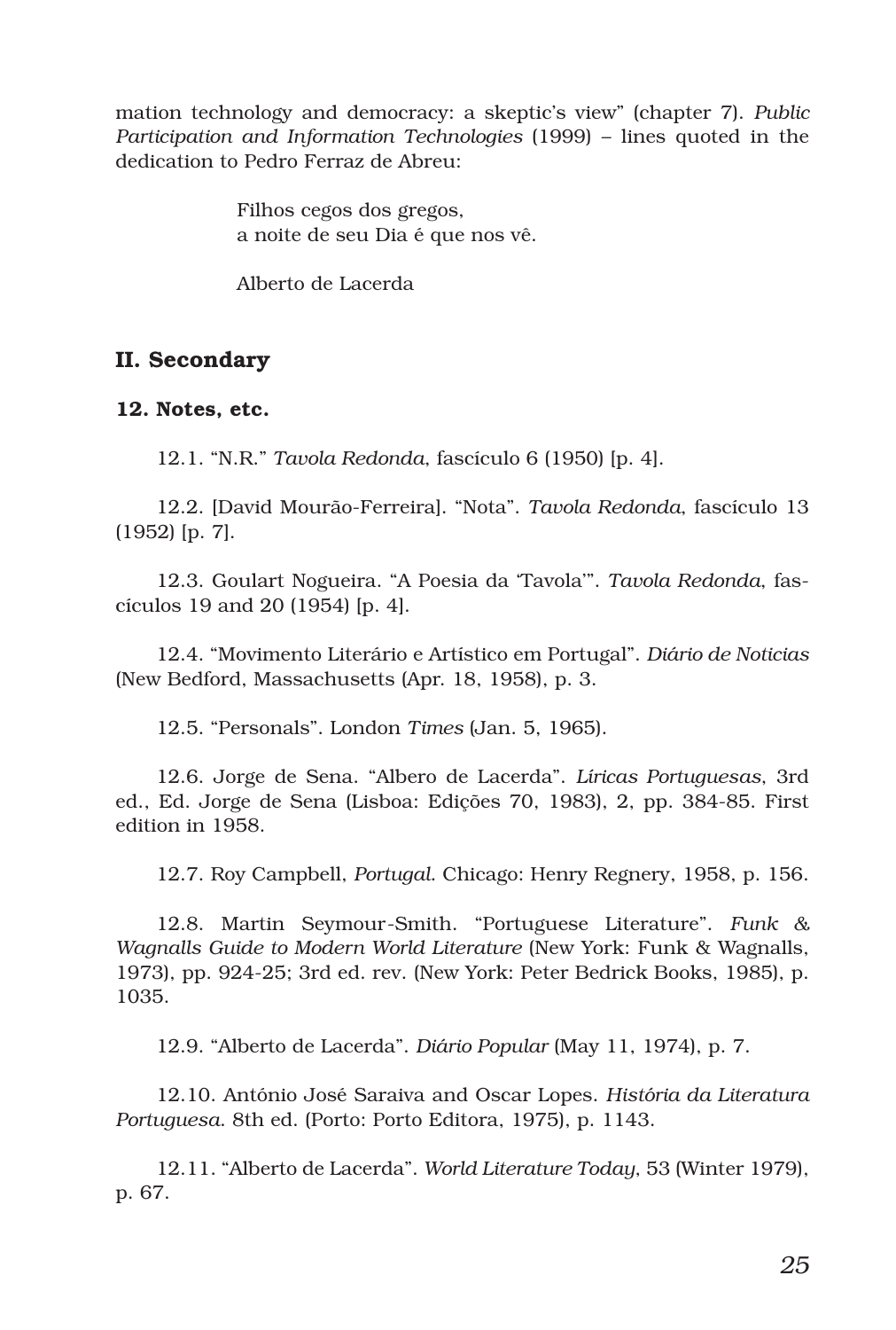mation technology and democracy: a skeptic's view" (chapter 7). *Public Participation and Information Technologies* (1999) – lines quoted in the dedication to Pedro Ferraz de Abreu:

> Filhos cegos dos gregos, a noite de seu Dia é que nos vê.

Alberto de Lacerda

# II. Secondary

## 12. Notes, etc.

12.1. "N.R." *Tavola Redonda*, fascículo 6 (1950) [p. 4].

12.2. [David Mourão-Ferreira]. "Nota". *Tavola Redonda*, fascículo 13 (1952) [p. 7].

12.3. Goulart Nogueira. "A Poesia da 'Tavola'". *Tavola Redonda*, fascículos 19 and 20 (1954) [p. 4].

12.4. "Movimento Literário e Artístico em Portugal". *Diário de Noticias* (New Bedford, Massachusetts (Apr. 18, 1958), p. 3.

12.5. "Personals". London *Times* (Jan. 5, 1965).

12.6. Jorge de Sena. "Albero de Lacerda". *Líricas Portuguesas*, 3rd ed., Ed. Jorge de Sena (Lisboa: Edições 70, 1983), 2, pp. 384-85. First edition in 1958.

12.7. Roy Campbell, *Portugal*. Chicago: Henry Regnery, 1958, p. 156.

12.8. Martin Seymour-Smith. "Portuguese Literature". *Funk & Wagnalls Guide to Modern World Literature* (New York: Funk & Wagnalls, 1973), pp. 924-25; 3rd ed. rev. (New York: Peter Bedrick Books, 1985), p. 1035.

12.9. "Alberto de Lacerda". *Diário Popular* (May 11, 1974), p. 7.

12.10. António José Saraiva and Oscar Lopes. *História da Literatura Portuguesa*. 8th ed. (Porto: Porto Editora, 1975), p. 1143.

12.11. "Alberto de Lacerda". *World Literature Today*, 53 (Winter 1979), p. 67.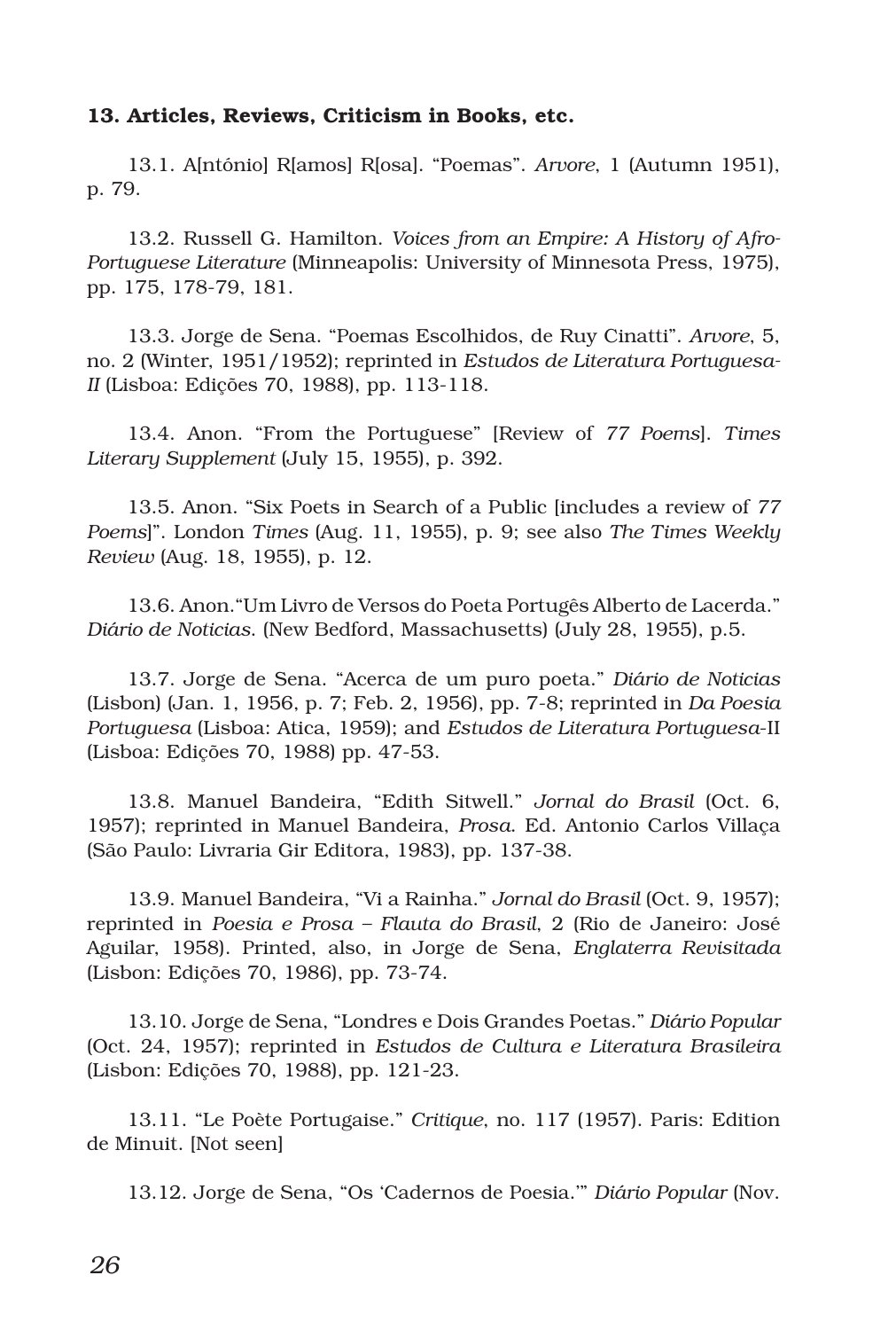### 13. Articles, Reviews, Criticism in Books, etc.

13.1. A[ntónio] R[amos] R[osa]. "Poemas". *Arvore*, 1 (Autumn 1951), p. 79.

13.2. Russell G. Hamilton. *Voices from an Empire: A History of Afro-Portuguese Literature* (Minneapolis: University of Minnesota Press, 1975), pp. 175, 178-79, 181.

13.3. Jorge de Sena. "Poemas Escolhidos, de Ruy Cinatti". *Arvore*, 5, no. 2 (Winter, 1951/1952); reprinted in *Estudos de Literatura Portuguesa-II* (Lisboa: Edições 70, 1988), pp. 113-118.

13.4. Anon. "From the Portuguese" [Review of *77 Poems*]. *Times Literary Supplement* (July 15, 1955), p. 392.

13.5. Anon. "Six Poets in Search of a Public [includes a review of *77 Poems*]". London *Times* (Aug. 11, 1955), p. 9; see also *The Times Weekly Review* (Aug. 18, 1955), p. 12.

13.6. Anon."Um Livro de Versos do Poeta Portugês Alberto de Lacerda." *Diário de Noticias*. (New Bedford, Massachusetts) (July 28, 1955), p.5.

13.7. Jorge de Sena. "Acerca de um puro poeta." *Diário de Noticias* (Lisbon) (Jan. 1, 1956, p. 7; Feb. 2, 1956), pp. 7-8; reprinted in *Da Poesia Portuguesa* (Lisboa: Atica, 1959); and *Estudos de Literatura Portuguesa*-II (Lisboa: Edições 70, 1988) pp. 47-53.

13.8. Manuel Bandeira, "Edith Sitwell." *Jornal do Brasil* (Oct. 6, 1957); reprinted in Manuel Bandeira, *Prosa*. Ed. Antonio Carlos Villaça (São Paulo: Livraria Gir Editora, 1983), pp. 137-38.

13.9. Manuel Bandeira, "Vi a Rainha." *Jornal do Brasil* (Oct. 9, 1957); reprinted in *Poesia e Prosa – Flauta do Brasil*, 2 (Rio de Janeiro: José Aguilar, 1958). Printed, also, in Jorge de Sena, *Englaterra Revisitada* (Lisbon: Edições 70, 1986), pp. 73-74.

13.10. Jorge de Sena, "Londres e Dois Grandes Poetas." *Diário Popular* (Oct. 24, 1957); reprinted in *Estudos de Cultura e Literatura Brasileira* (Lisbon: Edições 70, 1988), pp. 121-23.

13.11. "Le Poète Portugaise." *Critique*, no. 117 (1957). Paris: Edition de Minuit. [Not seen]

13.12. Jorge de Sena, "Os 'Cadernos de Poesia.'" *Diário Popular* (Nov.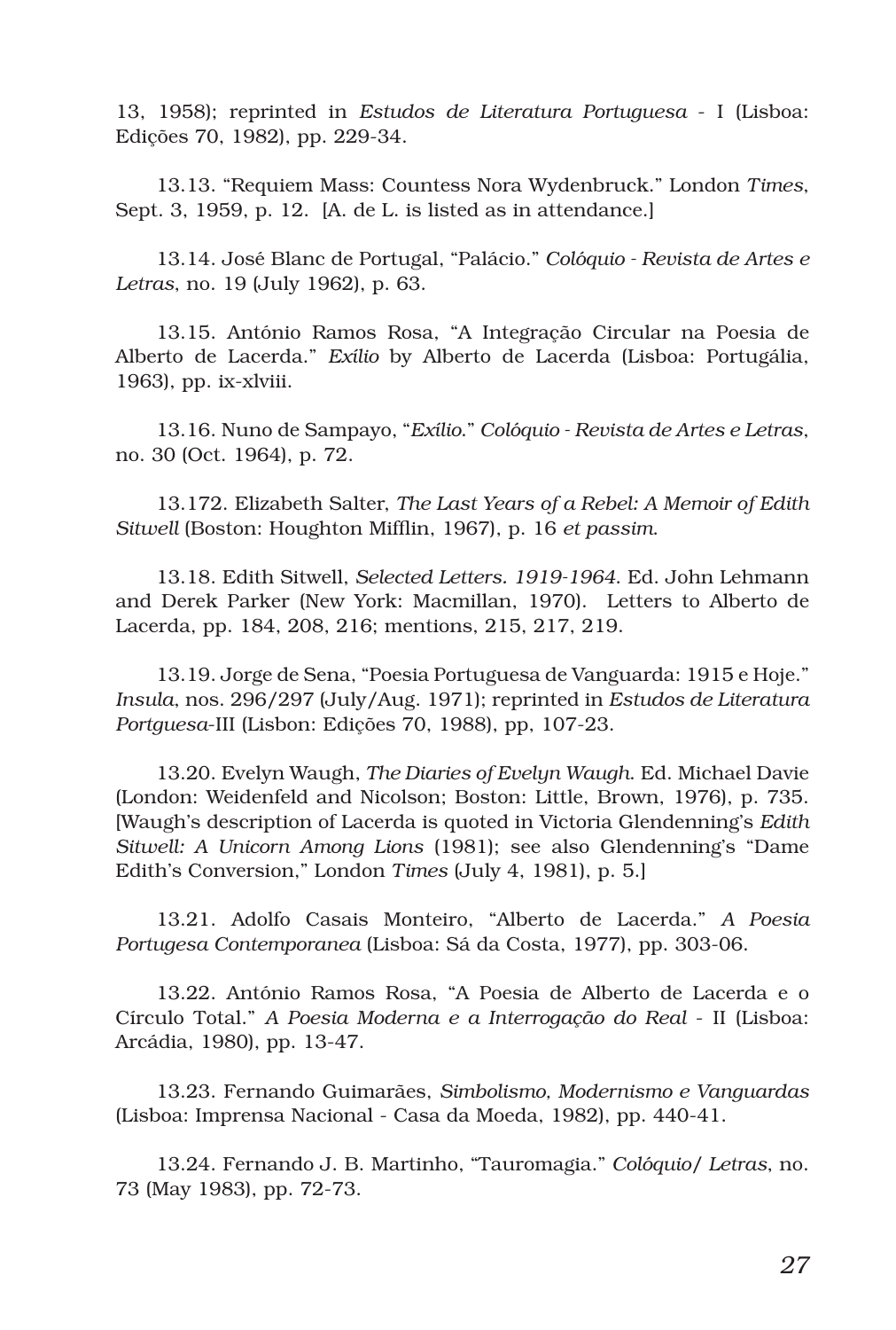13, 1958); reprinted in *Estudos de Literatura Portuguesa* - I (Lisboa: Edições 70, 1982), pp. 229-34.

13.13. "Requiem Mass: Countess Nora Wydenbruck." London *Times*, Sept. 3, 1959, p. 12. [A. de L. is listed as in attendance.]

13.14. José Blanc de Portugal, "Palácio." *Colóquio - Revista de Artes e Letras*, no. 19 (July 1962), p. 63.

13.15. António Ramos Rosa, "A Integração Circular na Poesia de Alberto de Lacerda." *Exílio* by Alberto de Lacerda (Lisboa: Portugália, 1963), pp. ix-xlviii.

13.16. Nuno de Sampayo, "*Exílio*." *Colóquio - Revista de Artes e Letras*, no. 30 (Oct. 1964), p. 72.

13.172. Elizabeth Salter, *The Last Years of a Rebel: A Memoir of Edith Sitwell* (Boston: Houghton Mifflin, 1967), p. 16 *et passim*.

13.18. Edith Sitwell, *Selected Letters. 1919-1964*. Ed. John Lehmann and Derek Parker (New York: Macmillan, 1970). Letters to Alberto de Lacerda, pp. 184, 208, 216; mentions, 215, 217, 219.

13.19. Jorge de Sena, "Poesia Portuguesa de Vanguarda: 1915 e Hoje." *Insula*, nos. 296/297 (July/Aug. 1971); reprinted in *Estudos de Literatura Portguesa*-III (Lisbon: Edições 70, 1988), pp, 107-23.

13.20. Evelyn Waugh, *The Diaries of Evelyn Waugh*. Ed. Michael Davie (London: Weidenfeld and Nicolson; Boston: Little, Brown, 1976), p. 735. [Waugh's description of Lacerda is quoted in Victoria Glendenning's *Edith Sitwell: A Unicorn Among Lions* (1981); see also Glendenning's "Dame Edith's Conversion," London *Times* (July 4, 1981), p. 5.]

13.21. Adolfo Casais Monteiro, "Alberto de Lacerda." *A Poesia Portugesa Contemporanea* (Lisboa: Sá da Costa, 1977), pp. 303-06.

13.22. António Ramos Rosa, "A Poesia de Alberto de Lacerda e o Círculo Total." *A Poesia Moderna e a Interrogação do Real* - II (Lisboa: Arcádia, 1980), pp. 13-47.

13.23. Fernando Guimarães, *Simbolismo, Modernismo e Vanguardas* (Lisboa: Imprensa Nacional - Casa da Moeda, 1982), pp. 440-41.

13.24. Fernando J. B. Martinho, "Tauromagia." *Colóquio/ Letras*, no. 73 (May 1983), pp. 72-73.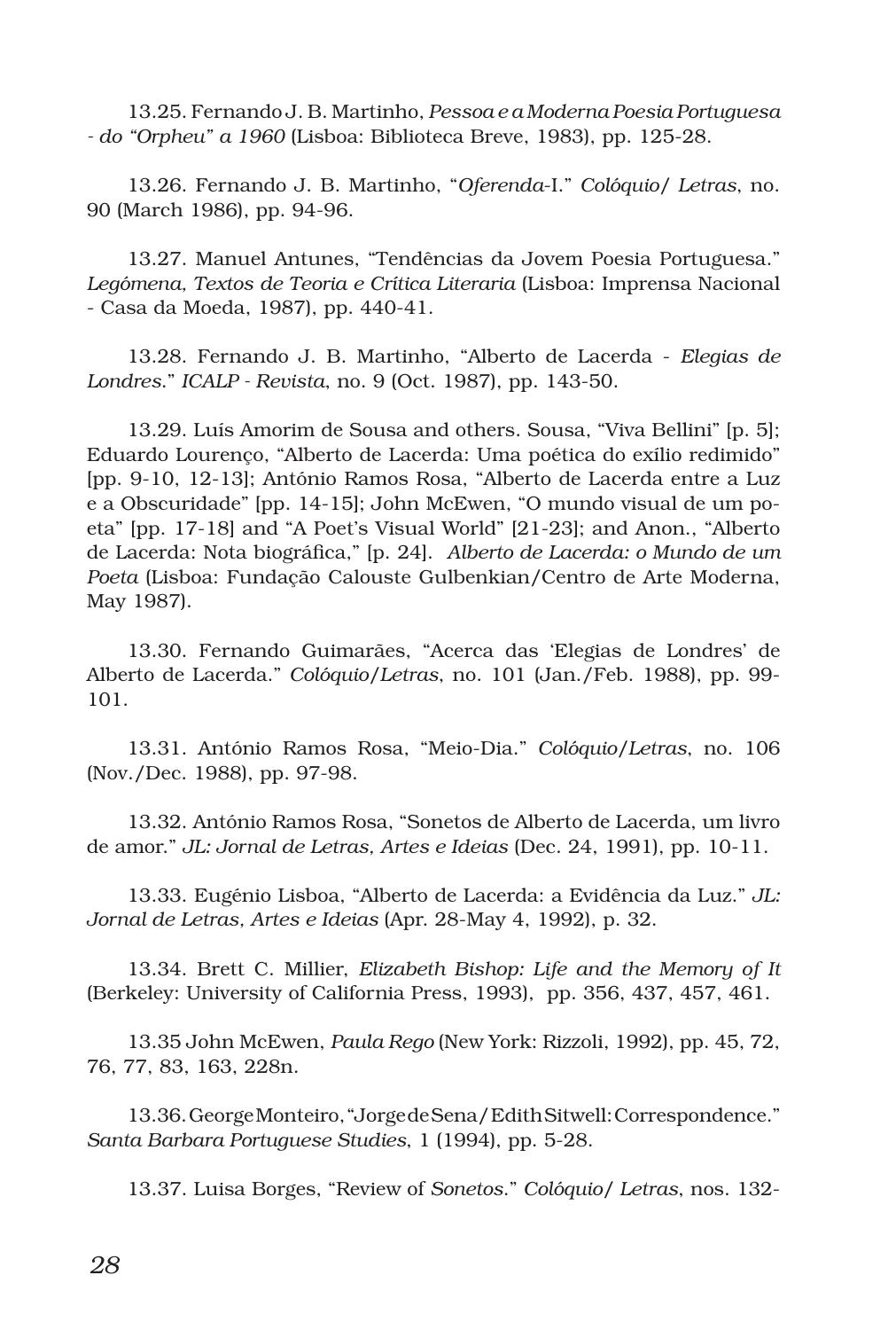13.25. Fernando J. B. Martinho, *Pessoa e a Moderna Poesia Portuguesa - do "Orpheu" a 1960* (Lisboa: Biblioteca Breve, 1983), pp. 125-28.

13.26. Fernando J. B. Martinho, "*Oferenda*-I." *Colóquio/ Letras*, no. 90 (March 1986), pp. 94-96.

13.27. Manuel Antunes, "Tendências da Jovem Poesia Portuguesa." *Legómena, Textos de Teoria e Crítica Literaria* (Lisboa: Imprensa Nacional - Casa da Moeda, 1987), pp. 440-41.

13.28. Fernando J. B. Martinho, "Alberto de Lacerda - *Elegias de Londres*." *ICALP - Revista*, no. 9 (Oct. 1987), pp. 143-50.

13.29. Luís Amorim de Sousa and others. Sousa, "Viva Bellini" [p. 5]; Eduardo Lourenço, "Alberto de Lacerda: Uma poética do exílio redimido" [pp. 9-10, 12-13]; António Ramos Rosa, "Alberto de Lacerda entre a Luz e a Obscuridade" [pp. 14-15]; John McEwen, "O mundo visual de um poeta" [pp. 17-18] and "A Poet's Visual World" [21-23]; and Anon., "Alberto de Lacerda: Nota biográfica," [p. 24]. *Alberto de Lacerda: o Mundo de um Poeta* (Lisboa: Fundação Calouste Gulbenkian/Centro de Arte Moderna, May 1987).

13.30. Fernando Guimarães, "Acerca das 'Elegias de Londres' de Alberto de Lacerda." *Colóquio/Letras*, no. 101 (Jan./Feb. 1988), pp. 99- 101.

13.31. António Ramos Rosa, "Meio-Dia." *Colóquio/Letras*, no. 106 (Nov./Dec. 1988), pp. 97-98.

13.32. António Ramos Rosa, "Sonetos de Alberto de Lacerda, um livro de amor." *JL: Jornal de Letras, Artes e Ideias* (Dec. 24, 1991), pp. 10-11.

13.33. Eugénio Lisboa, "Alberto de Lacerda: a Evidência da Luz." *JL: Jornal de Letras, Artes e Ideias* (Apr. 28-May 4, 1992), p. 32.

13.34. Brett C. Millier, *Elizabeth Bishop: Life and the Memory of It* (Berkeley: University of California Press, 1993), pp. 356, 437, 457, 461.

13.35 John McEwen, *Paula Rego* (New York: Rizzoli, 1992), pp. 45, 72, 76, 77, 83, 163, 228n.

13.36. George Monteiro, "Jorge de Sena/ Edith Sitwell: Correspondence." *Santa Barbara Portuguese Studies*, 1 (1994), pp. 5-28.

13.37. Luisa Borges, "Review of *Sonetos*." *Colóquio/ Letras*, nos. 132-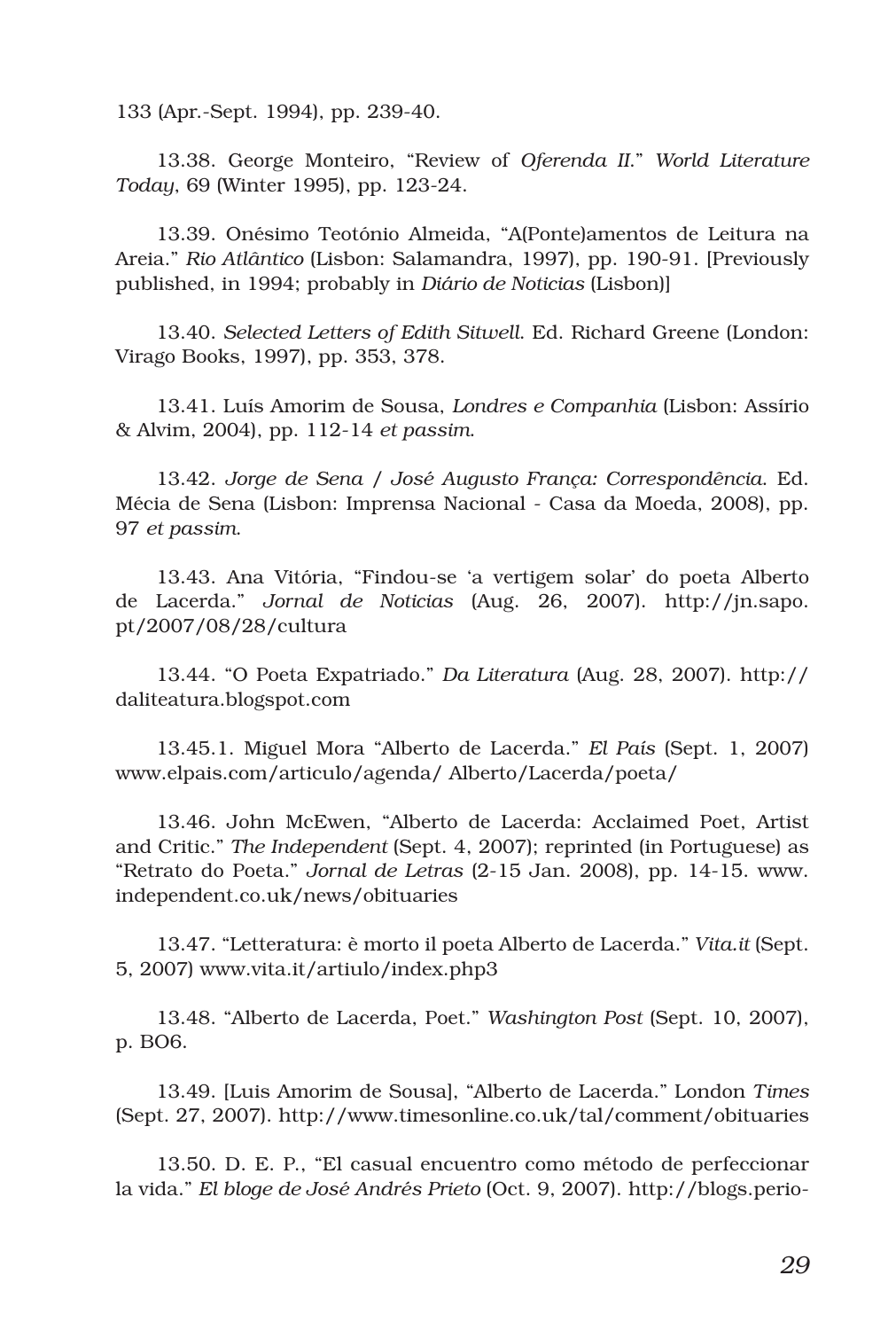133 (Apr.-Sept. 1994), pp. 239-40.

13.38. George Monteiro, "Review of *Oferenda II*." *World Literature Today*, 69 (Winter 1995), pp. 123-24.

13.39. Onésimo Teotónio Almeida, "A(Ponte)amentos de Leitura na Areia." *Rio Atlântico* (Lisbon: Salamandra, 1997), pp. 190-91. [Previously published, in 1994; probably in *Diário de Noticias* (Lisbon)]

13.40. *Selected Letters of Edith Sitwell*. Ed. Richard Greene (London: Virago Books, 1997), pp. 353, 378.

13.41. Luís Amorim de Sousa, *Londres e Companhia* (Lisbon: Assírio & Alvim, 2004), pp. 112-14 *et passim*.

13.42. *Jorge de Sena / José Augusto França: Correspondência*. Ed. Mécia de Sena (Lisbon: Imprensa Nacional - Casa da Moeda, 2008), pp. 97 *et passim*.

13.43. Ana Vitória, "Findou-se 'a vertigem solar' do poeta Alberto de Lacerda." *Jornal de Noticias* (Aug. 26, 2007). http://jn.sapo. pt/2007/08/28/cultura

13.44. "O Poeta Expatriado." *Da Literatura* (Aug. 28, 2007). http:// daliteatura.blogspot.com

13.45.1. Miguel Mora "Alberto de Lacerda." *El País* (Sept. 1, 2007) www.elpais.com/articulo/agenda/ Alberto/Lacerda/poeta/

13.46. John McEwen, "Alberto de Lacerda: Acclaimed Poet, Artist and Critic." *The Independent* (Sept. 4, 2007); reprinted (in Portuguese) as "Retrato do Poeta." *Jornal de Letras* (2-15 Jan. 2008), pp. 14-15. www. independent.co.uk/news/obituaries

13.47. "Letteratura: è morto il poeta Alberto de Lacerda." *Vita.it* (Sept. 5, 2007) www.vita.it/artiulo/index.php3

13.48. "Alberto de Lacerda, Poet." *Washington Post* (Sept. 10, 2007), p. BO6.

13.49. [Luis Amorim de Sousa], "Alberto de Lacerda." London *Times* (Sept. 27, 2007). http://www.timesonline.co.uk/tal/comment/obituaries

13.50. D. E. P., "El casual encuentro como método de perfeccionar la vida." *El bloge de José Andrés Prieto* (Oct. 9, 2007). http://blogs.perio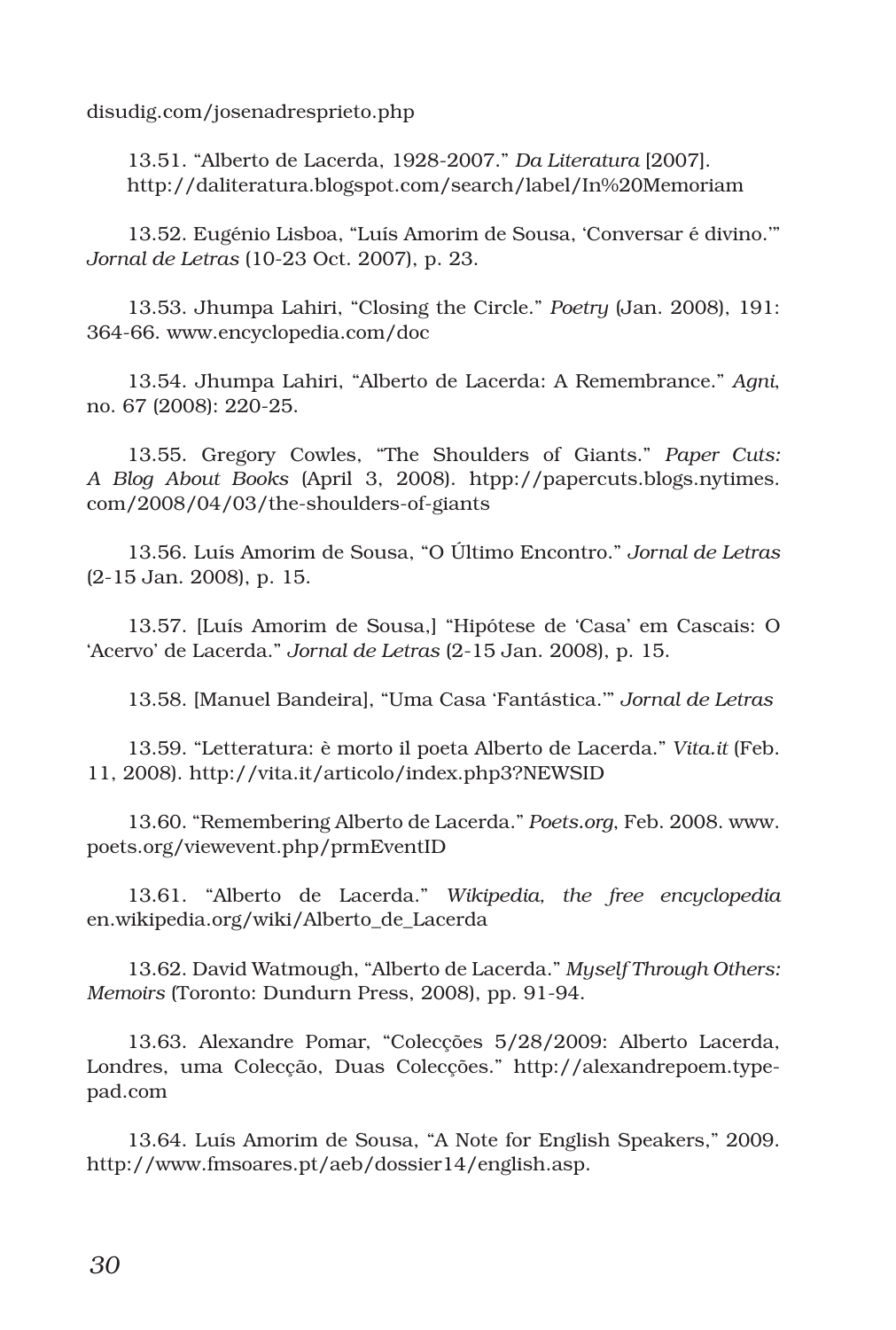disudig.com/josenadresprieto.php

13.51. "Alberto de Lacerda, 1928-2007." *Da Literatura* [2007]. http://daliteratura.blogspot.com/search/label/In%20Memoriam

13.52. Eugénio Lisboa, "Luís Amorim de Sousa, 'Conversar é divino.'" *Jornal de Letras* (10-23 Oct. 2007), p. 23.

13.53. Jhumpa Lahiri, "Closing the Circle." *Poetry* (Jan. 2008), 191: 364-66. www.encyclopedia.com/doc

13.54. Jhumpa Lahiri, "Alberto de Lacerda: A Remembrance." *Agni*, no. 67 (2008): 220-25.

13.55. Gregory Cowles, "The Shoulders of Giants." *Paper Cuts: A Blog About Books* (April 3, 2008). htpp://papercuts.blogs.nytimes. com/2008/04/03/the-shoulders-of-giants

13.56. Luís Amorim de Sousa, "O Último Encontro." *Jornal de Letras* (2-15 Jan. 2008), p. 15.

13.57. [Luís Amorim de Sousa,] "Hipótese de 'Casa' em Cascais: O 'Acervo' de Lacerda." *Jornal de Letras* (2-15 Jan. 2008), p. 15.

13.58. [Manuel Bandeira], "Uma Casa 'Fantástica.'" *Jornal de Letras*

13.59. "Letteratura: è morto il poeta Alberto de Lacerda." *Vita.it* (Feb. 11, 2008). http://vita.it/articolo/index.php3?NEWSID

13.60. "Remembering Alberto de Lacerda." *Poets.org*, Feb. 2008. www. poets.org/viewevent.php/prmEventID

13.61. "Alberto de Lacerda." *Wikipedia, the free encyclopedia* en.wikipedia.org/wiki/Alberto\_de\_Lacerda

13.62. David Watmough, "Alberto de Lacerda." *Myself Through Others: Memoirs* (Toronto: Dundurn Press, 2008), pp. 91-94.

13.63. Alexandre Pomar, "Colecções 5/28/2009: Alberto Lacerda, Londres, uma Colecção, Duas Colecções." http://alexandrepoem.typepad.com

13.64. Luís Amorim de Sousa, "A Note for English Speakers," 2009. http://www.fmsoares.pt/aeb/dossier14/english.asp.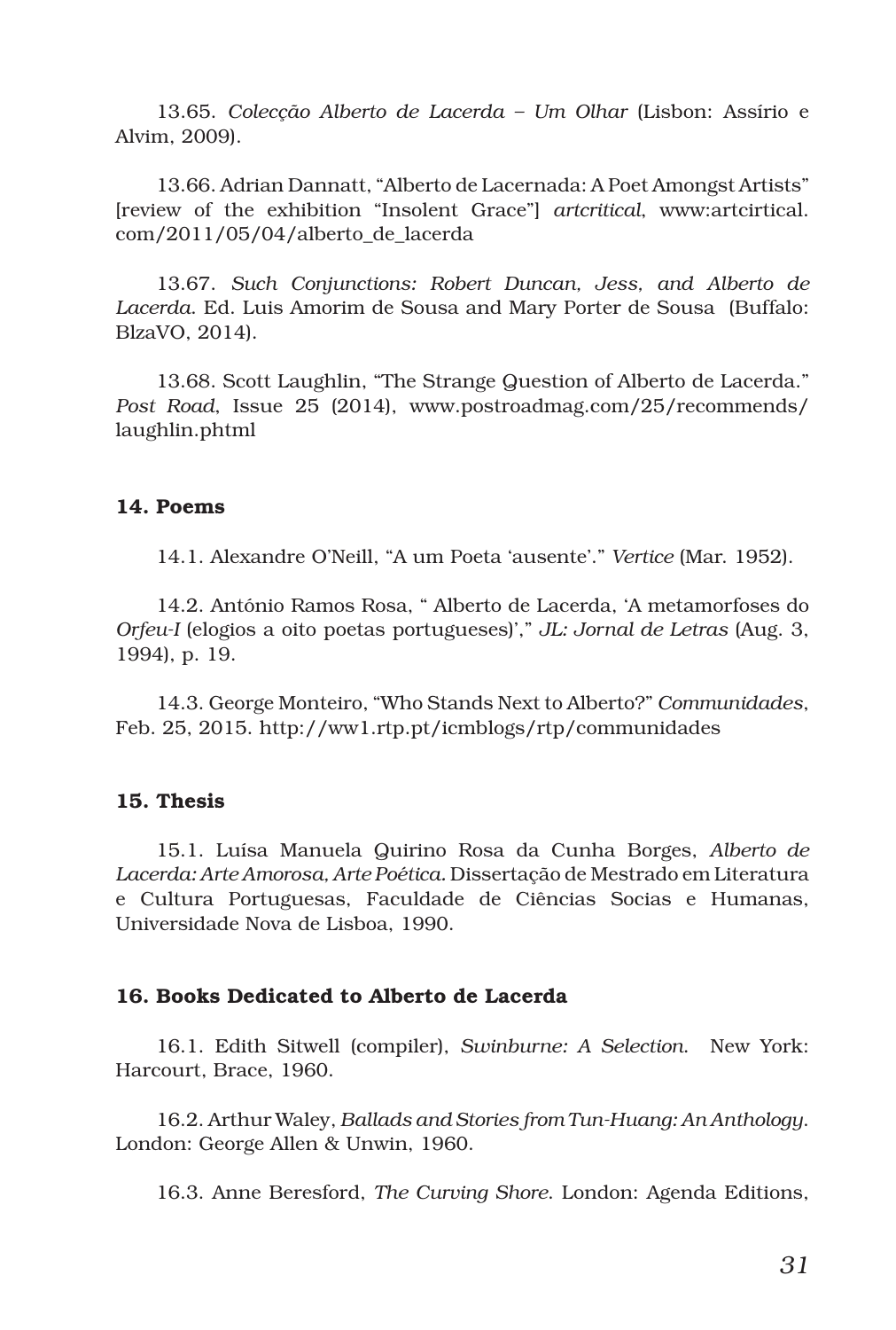13.65. *Colecção Alberto de Lacerda – Um Olhar* (Lisbon: Assírio e Alvim, 2009).

13.66. Adrian Dannatt, "Alberto de Lacernada: A Poet Amongst Artists" [review of the exhibition "Insolent Grace"] *artcritical*, www:artcirtical. com/2011/05/04/alberto\_de\_lacerda

13.67. *Such Conjunctions: Robert Duncan, Jess, and Alberto de Lacerda*. Ed. Luis Amorim de Sousa and Mary Porter de Sousa (Buffalo: BlzaVO, 2014).

13.68. Scott Laughlin, "The Strange Question of Alberto de Lacerda." *Post Road*, Issue 25 (2014), www.postroadmag.com/25/recommends/ laughlin.phtml

### 14. Poems

14.1. Alexandre O'Neill, "A um Poeta 'ausente'." *Vertice* (Mar. 1952).

14.2. António Ramos Rosa, " Alberto de Lacerda, 'A metamorfoses do *Orfeu-I* (elogios a oito poetas portugueses)'," *JL: Jornal de Letras* (Aug. 3, 1994), p. 19.

14.3. George Monteiro, "Who Stands Next to Alberto?" *Communidades*, Feb. 25, 2015. http://ww1.rtp.pt/icmblogs/rtp/communidades

## 15. Thesis

15.1. Luísa Manuela Quirino Rosa da Cunha Borges, *Alberto de Lacerda: Arte Amorosa, Arte Poética.* Dissertação de Mestrado em Literatura e Cultura Portuguesas, Faculdade de Ciências Socias e Humanas, Universidade Nova de Lisboa, 1990.

## 16. Books Dedicated to Alberto de Lacerda

16.1. Edith Sitwell (compiler), *Swinburne: A Selection*. New York: Harcourt, Brace, 1960.

16.2. Arthur Waley, *Ballads and Stories from Tun-Huang: An Anthology*. London: George Allen & Unwin, 1960.

16.3. Anne Beresford, *The Curving Shore*. London: Agenda Editions,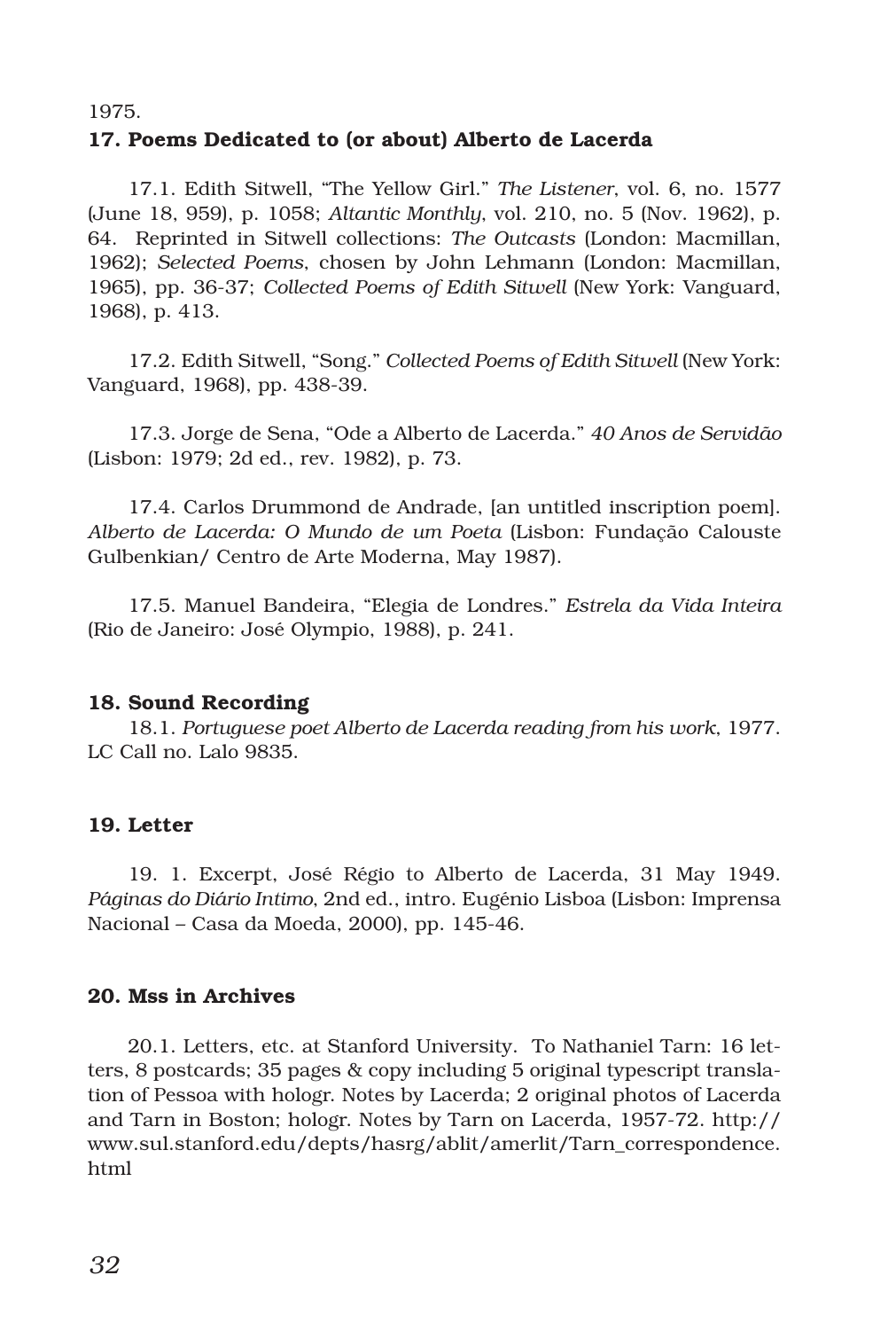1975.

# 17. Poems Dedicated to (or about) Alberto de Lacerda

17.1. Edith Sitwell, "The Yellow Girl." *The Listener*, vol. 6, no. 1577 (June 18, 959), p. 1058; *Altantic Monthly*, vol. 210, no. 5 (Nov. 1962), p. 64. Reprinted in Sitwell collections: *The Outcasts* (London: Macmillan, 1962); *Selected Poems*, chosen by John Lehmann (London: Macmillan, 1965), pp. 36-37; *Collected Poems of Edith Sitwell* (New York: Vanguard, 1968), p. 413.

17.2. Edith Sitwell, "Song." *Collected Poems of Edith Sitwell* (New York: Vanguard, 1968), pp. 438-39.

17.3. Jorge de Sena, "Ode a Alberto de Lacerda." *40 Anos de Servidão* (Lisbon: 1979; 2d ed., rev. 1982), p. 73.

17.4. Carlos Drummond de Andrade, [an untitled inscription poem]. *Alberto de Lacerda: O Mundo de um Poeta* (Lisbon: Fundação Calouste Gulbenkian/ Centro de Arte Moderna, May 1987).

17.5. Manuel Bandeira, "Elegia de Londres." *Estrela da Vida Inteira* (Rio de Janeiro: José Olympio, 1988), p. 241.

## 18. Sound Recording

18.1. *Portuguese poet Alberto de Lacerda reading from his work*, 1977. LC Call no. Lalo 9835.

## 19. Letter

19. 1. Excerpt, José Régio to Alberto de Lacerda, 31 May 1949. *Páginas do Diário Intimo*, 2nd ed., intro. Eugénio Lisboa (Lisbon: Imprensa Nacional – Casa da Moeda, 2000), pp. 145-46.

## 20. Mss in Archives

20.1. Letters, etc. at Stanford University. To Nathaniel Tarn: 16 letters, 8 postcards; 35 pages & copy including 5 original typescript translation of Pessoa with hologr. Notes by Lacerda; 2 original photos of Lacerda and Tarn in Boston; hologr. Notes by Tarn on Lacerda, 1957-72. http:// www.sul.stanford.edu/depts/hasrg/ablit/amerlit/Tarn\_correspondence. html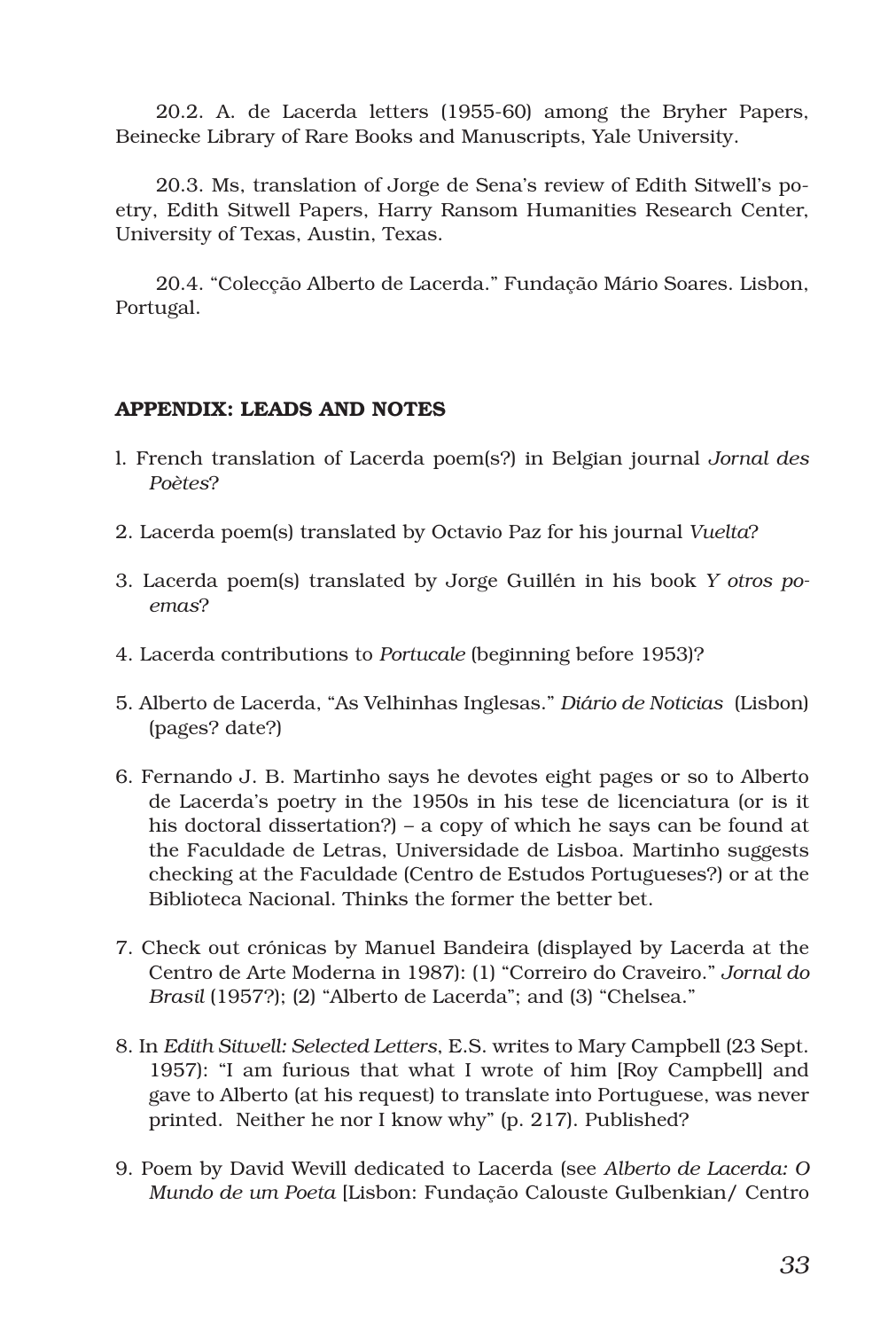20.2. A. de Lacerda letters (1955-60) among the Bryher Papers, Beinecke Library of Rare Books and Manuscripts, Yale University.

20.3. Ms, translation of Jorge de Sena's review of Edith Sitwell's poetry, Edith Sitwell Papers, Harry Ransom Humanities Research Center, University of Texas, Austin, Texas.

20.4. "Colecção Alberto de Lacerda." Fundação Mário Soares. Lisbon, Portugal.

## APPENDIX: LEADS AND NOTES

- l. French translation of Lacerda poem(s?) in Belgian journal *Jornal des Poètes*?
- 2. Lacerda poem(s) translated by Octavio Paz for his journal *Vuelta*?
- 3. Lacerda poem(s) translated by Jorge Guillén in his book *Y otros poemas*?
- 4. Lacerda contributions to *Portucale* (beginning before 1953)?
- 5. Alberto de Lacerda, "As Velhinhas Inglesas." *Diário de Noticias* (Lisbon) (pages? date?)
- 6. Fernando J. B. Martinho says he devotes eight pages or so to Alberto de Lacerda's poetry in the 1950s in his tese de licenciatura (or is it his doctoral dissertation?) – a copy of which he says can be found at the Faculdade de Letras, Universidade de Lisboa. Martinho suggests checking at the Faculdade (Centro de Estudos Portugueses?) or at the Biblioteca Nacional. Thinks the former the better bet.
- 7. Check out crónicas by Manuel Bandeira (displayed by Lacerda at the Centro de Arte Moderna in 1987): (1) "Correiro do Craveiro." *Jornal do Brasil* (1957?); (2) "Alberto de Lacerda"; and (3) "Chelsea."
- 8. In *Edith Sitwell: Selected Letters*, E.S. writes to Mary Campbell (23 Sept. 1957): "I am furious that what I wrote of him [Roy Campbell] and gave to Alberto (at his request) to translate into Portuguese, was never printed. Neither he nor I know why" (p. 217). Published?
- 9. Poem by David Wevill dedicated to Lacerda (see *Alberto de Lacerda: O Mundo de um Poeta* [Lisbon: Fundação Calouste Gulbenkian/ Centro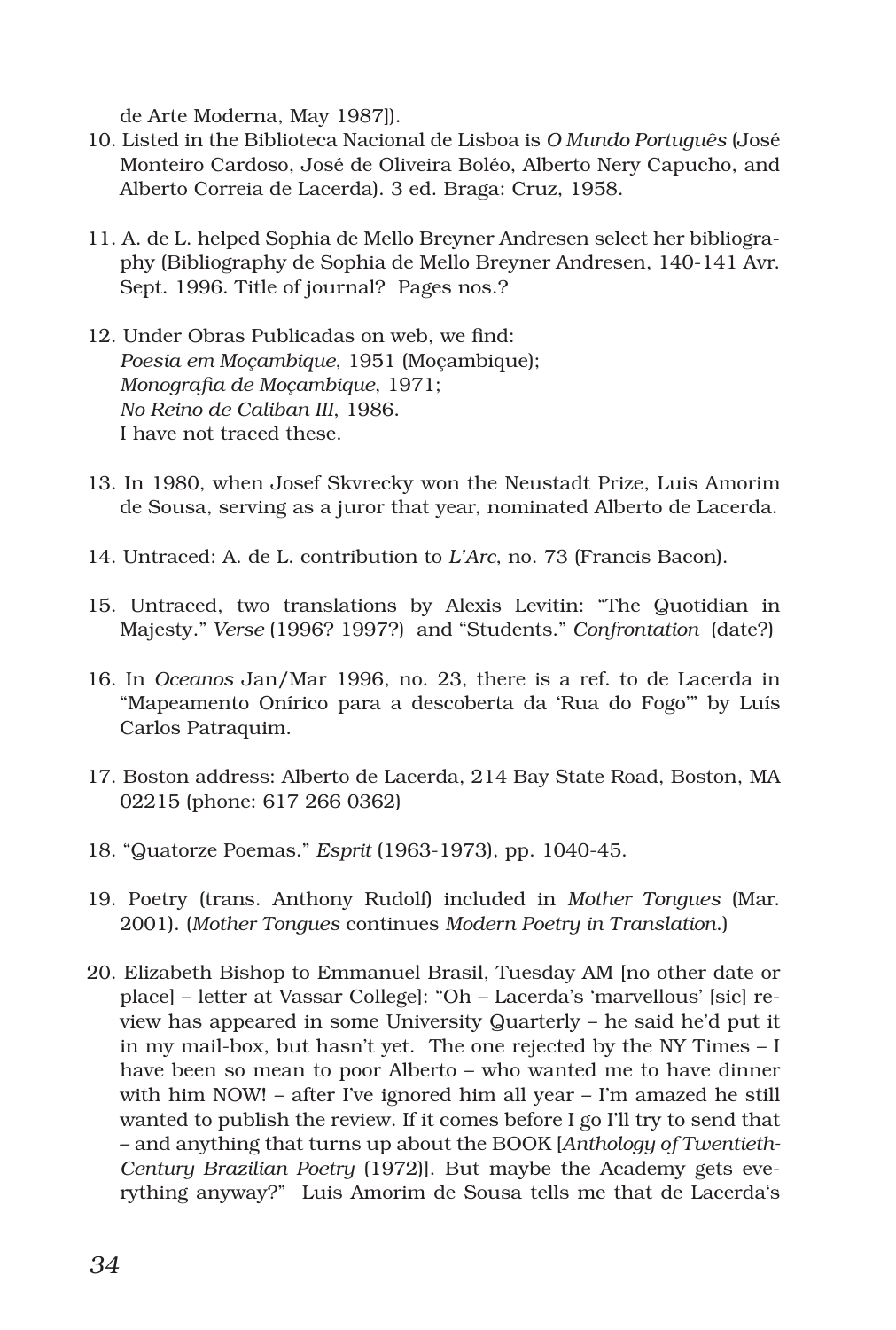de Arte Moderna, May 1987]).

- 10. Listed in the Biblioteca Nacional de Lisboa is *O Mundo Português* (José Monteiro Cardoso, José de Oliveira Boléo, Alberto Nery Capucho, and Alberto Correia de Lacerda). 3 ed. Braga: Cruz, 1958.
- 11. A. de L. helped Sophia de Mello Breyner Andresen select her bibliography (Bibliography de Sophia de Mello Breyner Andresen, 140-141 Avr. Sept. 1996. Title of journal? Pages nos.?
- 12. Under Obras Publicadas on web, we find: *Poesia em Moçambique*, 1951 (Moçambique); *Monografia de Moçambique*, 1971; *No Reino de Caliban III*, 1986. I have not traced these.
- 13. In 1980, when Josef Skvrecky won the Neustadt Prize, Luis Amorim de Sousa, serving as a juror that year, nominated Alberto de Lacerda.
- 14. Untraced: A. de L. contribution to *L'Arc*, no. 73 (Francis Bacon).
- 15. Untraced, two translations by Alexis Levitin: "The Quotidian in Majesty." *Verse* (1996? 1997?) and "Students." *Confrontation* (date?)
- 16. In *Oceanos* Jan/Mar 1996, no. 23, there is a ref. to de Lacerda in "Mapeamento Onírico para a descoberta da 'Rua do Fogo'" by Luís Carlos Patraquim.
- 17. Boston address: Alberto de Lacerda, 214 Bay State Road, Boston, MA 02215 (phone: 617 266 0362)
- 18. "Quatorze Poemas." *Esprit* (1963-1973), pp. 1040-45.
- 19. Poetry (trans. Anthony Rudolf) included in *Mother Tongues* (Mar. 2001). (*Mother Tongues* continues *Modern Poetry in Translation*.)
- 20. Elizabeth Bishop to Emmanuel Brasil, Tuesday AM [no other date or place] – letter at Vassar College]: "Oh – Lacerda's 'marvellous' [sic] review has appeared in some University Quarterly – he said he'd put it in my mail-box, but hasn't yet. The one rejected by the NY Times – I have been so mean to poor Alberto – who wanted me to have dinner with him NOW! – after I've ignored him all year – I'm amazed he still wanted to publish the review. If it comes before I go I'll try to send that – and anything that turns up about the BOOK [*Anthology of Twentieth-Century Brazilian Poetry* (1972)]. But maybe the Academy gets everything anyway?" Luis Amorim de Sousa tells me that de Lacerda's